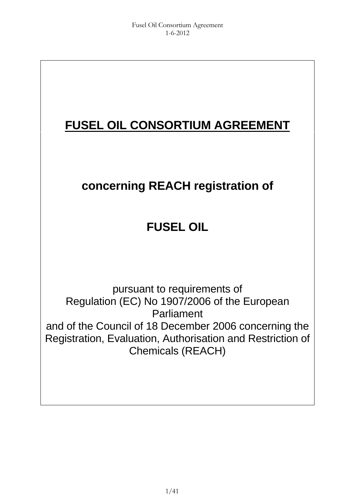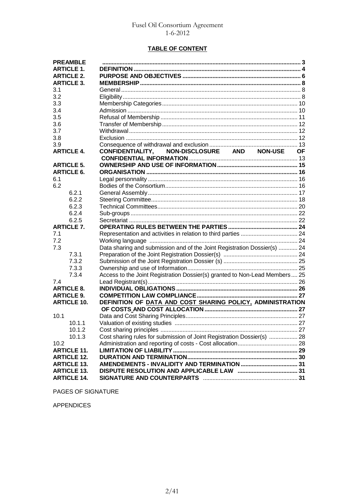### **TABLE OF CONTENT**

| <b>PREAMBLE</b>    |                                                                            |  |
|--------------------|----------------------------------------------------------------------------|--|
| <b>ARTICLE 1.</b>  |                                                                            |  |
| <b>ARTICLE 2.</b>  |                                                                            |  |
| <b>ARTICLE 3.</b>  |                                                                            |  |
| 3.1                |                                                                            |  |
| 3.2                |                                                                            |  |
| 3.3                |                                                                            |  |
| 3.4                |                                                                            |  |
| 3.5                |                                                                            |  |
| 3.6                |                                                                            |  |
| 3.7                |                                                                            |  |
| 3.8                |                                                                            |  |
| 3.9                |                                                                            |  |
| <b>ARTICLE 4.</b>  | CONFIDENTIALITY, NON-DISCLOSURE AND NON-USE OF                             |  |
|                    |                                                                            |  |
| <b>ARTICLE 5.</b>  |                                                                            |  |
| <b>ARTICLE 6.</b>  |                                                                            |  |
| 6.1                |                                                                            |  |
| 6.2                |                                                                            |  |
| 6.2.1              |                                                                            |  |
| 6.2.2              |                                                                            |  |
| 6.2.3              |                                                                            |  |
| 6.2.4              |                                                                            |  |
| 6.2.5              |                                                                            |  |
| <b>ARTICLE 7.</b>  |                                                                            |  |
| 7.1                |                                                                            |  |
| 7.2                |                                                                            |  |
| 7.3                | Data sharing and submission and of the Joint Registration Dossier(s)  24   |  |
| 7.3.1              |                                                                            |  |
| 7.3.2              |                                                                            |  |
| 7.3.3              |                                                                            |  |
| 7.3.4              | Access to the Joint Registration Dossier(s) granted to Non-Lead Members 25 |  |
| 7.4                |                                                                            |  |
| <b>ARTICLE 8.</b>  |                                                                            |  |
| <b>ARTICLE 9.</b>  |                                                                            |  |
| <b>ARTICLE 10.</b> | DEFINITION OF DATA AND COST SHARING POLICY, ADMINISTRATION                 |  |
|                    |                                                                            |  |
| 10.1               |                                                                            |  |
| 10.1.1             |                                                                            |  |
| 10.1.2             |                                                                            |  |
| 10.1.3             | Cost sharing rules for submission of Joint Registration Dossier(s)  28     |  |
| 10.2               |                                                                            |  |
| <b>ARTICLE 11.</b> |                                                                            |  |
| <b>ARTICLE 12.</b> |                                                                            |  |
| <b>ARTICLE 13.</b> |                                                                            |  |
| <b>ARTICLE 13.</b> |                                                                            |  |
| <b>ARTICLE 14.</b> |                                                                            |  |

PAGES OF SIGNATURE

APPENDICES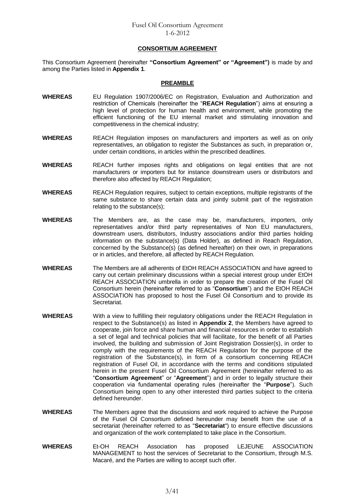#### **CONSORTIUM AGREEMENT**

This Consortium Agreement (hereinafter **"Consortium Agreement" or "Agreement")** is made by and among the Parties listed in **Appendix 1**.

#### **PREAMBLE**

- **WHEREAS** EU Regulation 1907/2006/EC on Registration, Evaluation and Authorization and restriction of Chemicals (hereinafter the "**REACH Regulation**") aims at ensuring a high level of protection for human health and environment, while promoting the efficient functioning of the EU internal market and stimulating innovation and competitiveness in the chemical industry;
- **WHEREAS** REACH Regulation imposes on manufacturers and importers as well as on only representatives, an obligation to register the Substances as such, in preparation or, under certain conditions, in articles within the prescribed deadlines.
- **WHEREAS** REACH further imposes rights and obligations on legal entities that are not manufacturers or importers but for instance downstream users or distributors and therefore also affected by REACH Regulation;
- **WHEREAS** REACH Regulation requires, subject to certain exceptions, multiple registrants of the same substance to share certain data and jointly submit part of the registration relating to the substance(s);
- **WHEREAS** The Members are, as the case may be, manufacturers, importers, only representatives and/or third party representatives of Non EU manufacturers, downstream users*,* distributors, Industry associations and/or third parties holding information on the substance(s) (Data Holder), as defined in Reach Regulation, concerned by the Substance(s) (as defined hereafter) on their own, in preparations or in articles, and therefore, all affected by REACH Regulation.
- **WHEREAS** The Members are all adherents of EtOH REACH ASSOCIATION and have agreed to carry out certain preliminary discussions within a special interest group under EtOH REACH ASSOCIATION umbrella in order to prepare the creation of the Fusel Oil Consortium herein (hereinafter referred to as "**Consortium**") and the EtOH REACH ASSOCIATION has proposed to host the Fusel Oil Consortium and to provide its Secretariat.
- **WHEREAS** With a view to fulfilling their regulatory obligations under the REACH Regulation in respect to the Substance(s) as listed in **Appendix 2**, the Members have agreed to cooperate, join force and share human and financial resources in order to establish a set of legal and technical policies that will facilitate, for the benefit of all Parties involved, the building and submission of Joint Registration Dossier(s), in order to comply with the requirements of the REACH Regulation for the purpose of the registration of the Substance(s), in form of a consortium concerning REACH registration of Fusel Oil, in accordance with the terms and conditions stipulated herein in the present Fusel Oil Consortium Agreement (hereinafter referred to as "**Consortium Agreement**" or "**Agreement**") and in order to legally structure their cooperation via fundamental operating rules (hereinafter the "**Purpose**"). Such Consortium being open to any other interested third parties subject to the criteria defined hereunder.
- **WHEREAS** The Members agree that the discussions and work required to achieve the Purpose of the Fusel Oil Consortium defined hereunder may benefit from the use of a secretariat (hereinafter referred to as "**Secretariat**") to ensure effective discussions and organization of the work contemplated to take place in the Consortium.
- **WHEREAS** Et-OH REACH Association has proposed LEJEUNE ASSOCIATION MANAGEMENT to host the services of Secretariat to the Consortium, through M.S. Macaré, and the Parties are willing to accept such offer.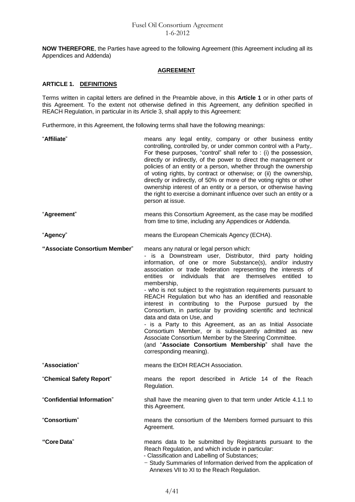**NOW THEREFORE**, the Parties have agreed to the following Agreement (this Agreement including all its Appendices and Addenda)

# **AGREEMENT**

# **ARTICLE 1. DEFINITIONS**

Terms written in capital letters are defined in the Preamble above, in this **Article 1** or in other parts of this Agreement. To the extent not otherwise defined in this Agreement, any definition specified in REACH Regulation, in particular in its Article 3, shall apply to this Agreement:

Furthermore, in this Agreement, the following terms shall have the following meanings:

| "Affiliate"                   | means any legal entity, company or other business entity<br>controlling, controlled by, or under common control with a Party,.<br>For these purposes, "control" shall refer to : (i) the possession,<br>directly or indirectly, of the power to direct the management or<br>policies of an entity or a person, whether through the ownership<br>of voting rights, by contract or otherwise; or (ii) the ownership,<br>directly or indirectly, of 50% or more of the voting rights or other<br>ownership interest of an entity or a person, or otherwise having<br>the right to exercise a dominant influence over such an entity or a<br>person at issue.                                                                                                                                                                                                                     |
|-------------------------------|-------------------------------------------------------------------------------------------------------------------------------------------------------------------------------------------------------------------------------------------------------------------------------------------------------------------------------------------------------------------------------------------------------------------------------------------------------------------------------------------------------------------------------------------------------------------------------------------------------------------------------------------------------------------------------------------------------------------------------------------------------------------------------------------------------------------------------------------------------------------------------|
| "Agreement"                   | means this Consortium Agreement, as the case may be modified<br>from time to time, including any Appendices or Addenda.                                                                                                                                                                                                                                                                                                                                                                                                                                                                                                                                                                                                                                                                                                                                                       |
| "Agency"                      | means the European Chemicals Agency (ECHA).                                                                                                                                                                                                                                                                                                                                                                                                                                                                                                                                                                                                                                                                                                                                                                                                                                   |
| "Associate Consortium Member" | means any natural or legal person which:<br>- is a Downstream user, Distributor, third party holding<br>information, of one or more Substance(s), and/or industry<br>association or trade federation representing the interests of<br>entities or individuals that are themselves entitled to<br>membership,<br>- who is not subject to the registration requirements pursuant to<br>REACH Regulation but who has an identified and reasonable<br>interest in contributing to the Purpose pursued by the<br>Consortium, in particular by providing scientific and technical<br>data and data on Use, and<br>- is a Party to this Agreement, as an as Initial Associate<br>Consortium Member, or is subsequently admitted as new<br>Associate Consortium Member by the Steering Committee.<br>(and "Associate Consortium Membership" shall have the<br>corresponding meaning). |
| "Association"                 | means the EtOH REACH Association.                                                                                                                                                                                                                                                                                                                                                                                                                                                                                                                                                                                                                                                                                                                                                                                                                                             |
| "Chemical Safety Report"      | means the report described in Article 14 of the Reach<br>Regulation.                                                                                                                                                                                                                                                                                                                                                                                                                                                                                                                                                                                                                                                                                                                                                                                                          |
| "Confidential Information"    | shall have the meaning given to that term under Article 4.1.1 to<br>this Agreement.                                                                                                                                                                                                                                                                                                                                                                                                                                                                                                                                                                                                                                                                                                                                                                                           |
| "Consortium"                  | means the consortium of the Members formed pursuant to this<br>Agreement.                                                                                                                                                                                                                                                                                                                                                                                                                                                                                                                                                                                                                                                                                                                                                                                                     |
| "Core Data"                   | means data to be submitted by Registrants pursuant to the<br>Reach Regulation, and which include in particular:<br>- Classification and Labelling of Substances;<br>- Study Summaries of Information derived from the application of<br>Annexes VII to XI to the Reach Regulation.                                                                                                                                                                                                                                                                                                                                                                                                                                                                                                                                                                                            |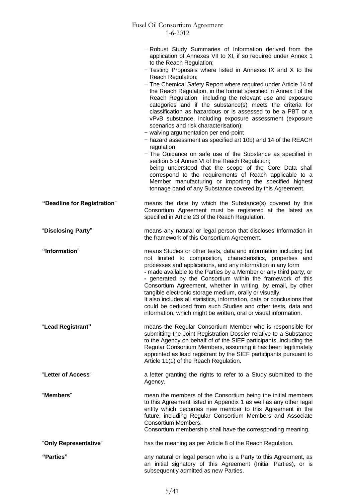|                             | - Robust Study Summaries of Information derived from the<br>application of Annexes VII to XI, if so required under Annex 1<br>to the Reach Regulation;<br>$-$ Testing Proposals where listed in Annexes IX and X to the<br>Reach Regulation;<br>- The Chemical Safety Report where required under Article 14 of<br>the Reach Regulation, in the format specified in Annex I of the<br>Reach Regulation including the relevant use and exposure<br>categories and if the substance(s) meets the criteria for<br>classification as hazardous or is assessed to be a PBT or a<br>vPvB substance, including exposure assessment (exposure<br>scenarios and risk characterisation);<br>$-$ waiving argumentation per end-point<br>- hazard assessment as specified art 10b) and 14 of the REACH<br>regulation<br>- The Guidance on safe use of the Substance as specified in<br>section 5 of Annex VI of the Reach Regulation;<br>being understood that the scope of the Core Data shall<br>correspond to the requirements of Reach applicable to a<br>Member manufacturing or importing the specified highest<br>tonnage band of any Substance covered by this Agreement. |
|-----------------------------|-----------------------------------------------------------------------------------------------------------------------------------------------------------------------------------------------------------------------------------------------------------------------------------------------------------------------------------------------------------------------------------------------------------------------------------------------------------------------------------------------------------------------------------------------------------------------------------------------------------------------------------------------------------------------------------------------------------------------------------------------------------------------------------------------------------------------------------------------------------------------------------------------------------------------------------------------------------------------------------------------------------------------------------------------------------------------------------------------------------------------------------------------------------------------|
| "Deadline for Registration" | means the date by which the Substance(s) covered by this<br>Consortium Agreement must be registered at the latest as<br>specified in Article 23 of the Reach Regulation.                                                                                                                                                                                                                                                                                                                                                                                                                                                                                                                                                                                                                                                                                                                                                                                                                                                                                                                                                                                              |
| "Disclosing Party"          | means any natural or legal person that discloses Information in<br>the framework of this Consortium Agreement.                                                                                                                                                                                                                                                                                                                                                                                                                                                                                                                                                                                                                                                                                                                                                                                                                                                                                                                                                                                                                                                        |
| "Information"               | means Studies or other tests, data and information including but<br>not limited to composition, characteristics, properties and<br>processes and applications, and any information in any form<br>- made available to the Parties by a Member or any third party, or<br>- generated by the Consortium within the framework of this<br>Consortium Agreement, whether in writing, by email, by other<br>tangible electronic storage medium, orally or visually.<br>It also includes all statistics, information, data or conclusions that<br>could be deduced from such Studies and other tests, data and<br>information, which might be written, oral or visual information.                                                                                                                                                                                                                                                                                                                                                                                                                                                                                           |
| "Lead Registrant"           | means the Regular Consortium Member who is responsible for<br>submitting the Joint Registration Dossier relative to a Substance<br>to the Agency on behalf of of the SIEF participants, including the<br>Regular Consortium Members, assuming it has been legitimately<br>appointed as lead registrant by the SIEF participants pursuant to<br>Article 11(1) of the Reach Regulation.                                                                                                                                                                                                                                                                                                                                                                                                                                                                                                                                                                                                                                                                                                                                                                                 |
| "Letter of Access"          | a letter granting the rights to refer to a Study submitted to the<br>Agency.                                                                                                                                                                                                                                                                                                                                                                                                                                                                                                                                                                                                                                                                                                                                                                                                                                                                                                                                                                                                                                                                                          |
| "Members"                   | mean the members of the Consortium being the initial members<br>to this Agreement listed in Appendix 1 as well as any other legal<br>entity which becomes new member to this Agreement in the<br>future, including Regular Consortium Members and Associate<br>Consortium Members.<br>Consortium membership shall have the corresponding meaning.                                                                                                                                                                                                                                                                                                                                                                                                                                                                                                                                                                                                                                                                                                                                                                                                                     |
| "Only Representative"       | has the meaning as per Article 8 of the Reach Regulation.                                                                                                                                                                                                                                                                                                                                                                                                                                                                                                                                                                                                                                                                                                                                                                                                                                                                                                                                                                                                                                                                                                             |
| "Parties"                   | any natural or legal person who is a Party to this Agreement, as<br>an initial signatory of this Agreement (Initial Parties), or is<br>subsequently admitted as new Parties.                                                                                                                                                                                                                                                                                                                                                                                                                                                                                                                                                                                                                                                                                                                                                                                                                                                                                                                                                                                          |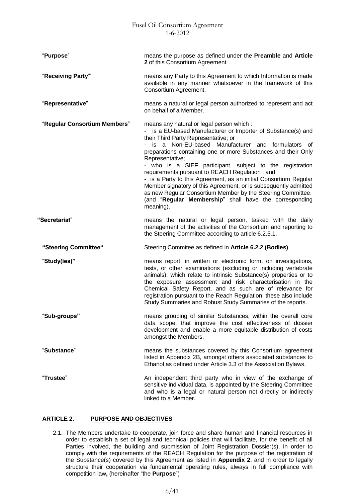| "Purpose"                    | means the purpose as defined under the Preamble and Article<br>2 of this Consortium Agreement.                                                                                                                                                                                                                                                                                                                                                                                                                                                                                                                                                                                          |
|------------------------------|-----------------------------------------------------------------------------------------------------------------------------------------------------------------------------------------------------------------------------------------------------------------------------------------------------------------------------------------------------------------------------------------------------------------------------------------------------------------------------------------------------------------------------------------------------------------------------------------------------------------------------------------------------------------------------------------|
| "Receiving Party"            | means any Party to this Agreement to which Information is made<br>available in any manner whatsoever in the framework of this<br>Consortium Agreement.                                                                                                                                                                                                                                                                                                                                                                                                                                                                                                                                  |
| "Representative"             | means a natural or legal person authorized to represent and act<br>on behalf of a Member.                                                                                                                                                                                                                                                                                                                                                                                                                                                                                                                                                                                               |
| "Regular Consortium Members" | means any natural or legal person which :<br>- is a EU-based Manufacturer or Importer of Substance(s) and<br>their Third Party Representative; or<br>- is a Non-EU-based Manufacturer and formulators of<br>preparations containing one or more Substances and their Only<br>Representative;<br>- who is a SIEF participant, subject to the registration<br>requirements pursuant to REACH Regulation; and<br>- is a Party to this Agreement, as an initial Consortium Regular<br>Member signatory of this Agreement, or is subsequently admitted<br>as new Regular Consortium Member by the Steering Committee.<br>(and "Regular Membership" shall have the corresponding<br>meaning). |
| "Secretariat"                | means the natural or legal person, tasked with the daily<br>management of the activities of the Consortium and reporting to<br>the Steering Committee according to article 6.2.5.1.                                                                                                                                                                                                                                                                                                                                                                                                                                                                                                     |
| "Steering Committee"         | Steering Commitee as defined in Article 6.2.2 (Bodies)                                                                                                                                                                                                                                                                                                                                                                                                                                                                                                                                                                                                                                  |
| "Study(ies)"                 | means report, in written or electronic form, on investigations,<br>tests, or other examinations (excluding or including vertebrate<br>animals), which relate to intrinsic Substance(s) properties or to<br>the exposure assessment and risk characterisation in the<br>Chemical Safety Report, and as such are of relevance for<br>registration pursuant to the Reach Regulation; these also include<br>Study Summaries and Robust Study Summaries of the reports.                                                                                                                                                                                                                      |
| "Sub-groups"                 | means grouping of similar Substances, within the overall core<br>data scope, that improve the cost effectiveness of dossier<br>development and enable a more equitable distribution of costs<br>amongst the Members.                                                                                                                                                                                                                                                                                                                                                                                                                                                                    |
| "Substance"                  | means the substances covered by this Consortium agreement<br>listed in Appendix 2B, amongst others associated substances to<br>Ethanol as defined under Article 3.3 of the Association Bylaws.                                                                                                                                                                                                                                                                                                                                                                                                                                                                                          |
| "Trustee"                    | An independent third party who in view of the exchange of<br>sensitive individual data, is appointed by the Steering Committee<br>and who is a legal or natural person not directly or indirectly<br>linked to a Member.                                                                                                                                                                                                                                                                                                                                                                                                                                                                |

# **ARTICLE 2. PURPOSE AND OBJECTIVES**

2.1. The Members undertake to cooperate, join force and share human and financial resources in order to establish a set of legal and technical policies that will facilitate, for the benefit of all Parties involved, the building and submission of Joint Registration Dossier(s), in order to comply with the requirements of the REACH Regulation for the purpose of the registration of the Substance(s) covered by this Agreement as listed in **Appendix 2**, and in order to legally structure their cooperation via fundamental operating rules, always in full compliance with competition law**,** (hereinafter "the **Purpose**")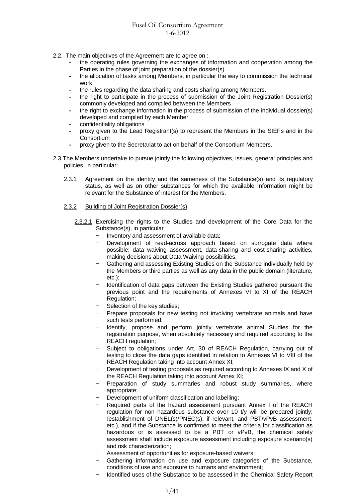- 2.2. The main objectives of the Agreement are to agree on :
	- **-** the operating rules governing the exchanges of information and cooperation among the Parties in the phase of joint preparation of the dossier(s).
	- **-** the allocation of tasks among Members, in particular the way to commission the technical work
	- **-** the rules regarding the data sharing and costs sharing among Members.
	- **-** the right to participate in the process of submission of the Joint Registration Dossier(s) commonly developed and compiled between the Members
	- **-** the right to exchange information in the process of submission of the individual dossier(s) developed and compiled by each Member
	- **-** confidentiality obligations
	- **-** proxy given to the Lead Registrant(s) to represent the Members in the SIEFs and in the **Consortium**
	- **-** proxy given to the Secretariat to act on behalf of the Consortium Members.
- 2.3 The Members undertake to pursue jointly the following objectives, issues, general principles and policies, in particular:
	- 2.3.1 Agreement on the identity and the sameness of the Substance(s) and its regulatory status, as well as on other substances for which the available Information might be relevant for the Substance of interest for the Members.

#### 2.3.2 Building of Joint Registration Dossier(s)

- 2.3.2.1 Exercising the rights to the Studies and development of the Core Data for the Substance(s), in particular
	- Inventory and assessment of available data;
	- Development of read-across approach based on surrogate data where possible; data waiving assessment, data-sharing and cost-sharing activities, making decisions about Data Waiving possibilities;
	- Gathering and assessing Existing Studies on the Substance individually held by the Members or third parties as well as any data in the public domain (literature, etc.);
	- Identification of data gaps between the Existing Studies gathered pursuant the previous point and the requirements of Annexes VI to XI of the REACH Regulation;
	- Selection of the key studies;
	- Prepare proposals for new testing not involving vertebrate animals and have such tests performed;
	- Identify, propose and perform jointly vertebrate animal Studies for the registration purpose, when absolutely necessary and required according to the REACH regulation;
	- Subiect to obligations under Art. 30 of REACH Regulation, carrying out of testing to close the data gaps identified in relation to Annexes VI to VIII of the REACH Regulation taking into account Annex XI;
	- Development of testing proposals as required according to Annexes IX and X of the REACH Regulation taking into account Annex XI;
	- Preparation of study summaries and robust study summaries, where appropriate;
	- Development of uniform classification and labelling;
	- Required parts of the hazard assessment pursuant Annex I of the REACH regulation for non hazardous substance over 10 t/y will be prepared jointly: (establishment of DNEL(s)/PNEC(s), if relevant, and PBT/vPvB assessment, etc.), and if the Substance is confirmed to meet the criteria for classification as hazardous or is assessed to be a PBT or vPvB, the chemical safety assessment shall include exposure assessment including exposure scenario(s) and risk characterization;
	- Assessment of opportunities for exposure-based waivers;
	- Gathering information on use and exposure categories of the Substance, conditions of use and exposure to humans and environment;
	- Identified uses of the Substance to be assessed in the Chemical Safety Report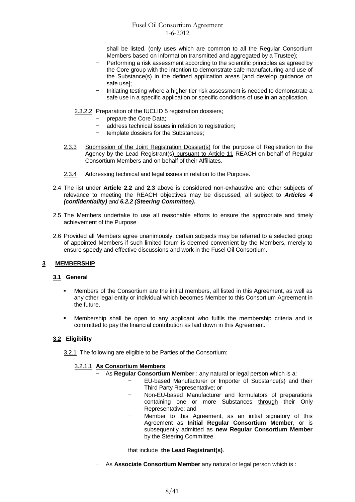shall be listed. (only uses which are common to all the Regular Consortium Members based on information transmitted and aggregated by a Trustee);

- Performing a risk assessment according to the scientific principles as agreed by the Core group with the intention to demonstrate safe manufacturing and use of the Substance(s) in the defined application areas [and develop guidance on safe use];
- Initiating testing where a higher tier risk assessment is needed to demonstrate a safe use in a specific application or specific conditions of use in an application.

### 2.3.2.2 Preparation of the IUCLID 5 registration dossiers;

- prepare the Core Data;
- address technical issues in relation to registration;
- template dossiers for the Substances;
- 2.3.3 Submission of the Joint Registration Dossier(s) for the purpose of Registration to the Agency by the Lead Registrant(s) pursuant to Article 11 REACH on behalf of Regular Consortium Members and on behalf of their Affiliates.
- 2.3.4 Addressing technical and legal issues in relation to the Purpose.
- 2.4 The list under **Article 2.2** and **2.3** above is considered non-exhaustive and other subjects of relevance to meeting the REACH objectives may be discussed, all subject to *Articles 4 (confidentiality) and 6.2.2 (Steering Committee).*
- 2.5 The Members undertake to use all reasonable efforts to ensure the appropriate and timely achievement of the Purpose
- 2.6 Provided all Members agree unanimously, certain subjects may be referred to a selected group of appointed Members if such limited forum is deemed convenient by the Members, merely to ensure speedy and effective discussions and work in the Fusel Oil Consortium.

# **3 MEMBERSHIP**

# **3.1 General**

- Members of the Consortium are the initial members, all listed in this Agreement, as well as any other legal entity or individual which becomes Member to this Consortium Agreement in the future.
- Membership shall be open to any applicant who fulfils the membership criteria and is committed to pay the financial contribution as laid down in this Agreement.

# **3.2 Eligibility**

3.2.1 The following are eligible to be Parties of the Consortium:

# 3.2.1.1 **As Consortium Members**:

- As **Regular Consortium Member** : any natural or legal person which is a:
	- EU-based Manufacturer or Importer of Substance(s) and their Third Party Representative; or
		- Non-EU-based Manufacturer and formulators of preparations containing one or more Substances through their Only Representative; and
	- Member to this Agreement, as an initial signatory of this Agreement as **Initial Regular Consortium Member**, or is subsequently admitted as **new Regular Consortium Member** by the Steering Committee.

that include **the Lead Registrant(s)**.

- As **Associate Consortium Member** any natural or legal person which is :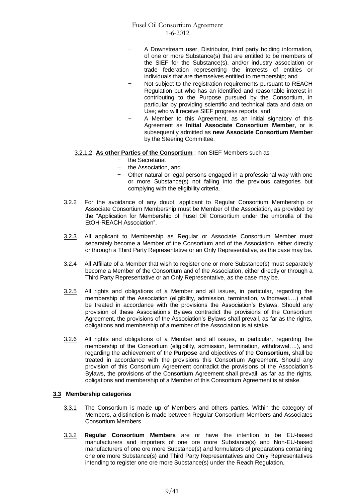- A Downstream user, Distributor, third party holding information, of one or more Substance(s) that are entitled to be members of the SIEF for the Substance(s), and/or industry association or trade federation representing the interests of entities or individuals that are themselves entitled to membership; and
- Not subject to the registration requirements pursuant to REACH Regulation but who has an identified and reasonable interest in contributing to the Purpose pursued by the Consortium, in particular by providing scientific and technical data and data on Use; who will receive SIEF progress reports, and
- A Member to this Agreement, as an initial signatory of this Agreement as **Initial Associate Consortium Member**, or is subsequently admitted as **new Associate Consortium Member** by the Steering Committee.

# 3.2.1.2 **As other Parties of the Consortium** : non SIEF Members such as

- the Secretariat
- the Association, and
- Other natural or legal persons engaged in a professional way with one or more Substance(s) not falling into the previous categories but complying with the eligibility criteria.
- 3.2.2 For the avoidance of any doubt, applicant to Regular Consortium Membership or Associate Consortium Membership must be Member of the Association, as provided by the "Application for Membership of Fusel Oil Consortium under the umbrella of the EtOH-REACH Association".
- 3.2.3 All applicant to Membership as Regular or Associate Consortium Member must separately become a Member of the Consortium and of the Association, either directly or through a Third Party Representative or an Only Representative, as the case may be.
- 3.2.4 All Affiliate of a Member that wish to register one or more Substance(s) must separately become a Member of the Consortium and of the Association, either directly or through a Third Party Representative or an Only Representative, as the case may be.
- 3.2.5 All rights and obligations of a Member and all issues, in particular, regarding the membership of the Association (eligibility, admission, termination, withdrawal….) shall be treated in accordance with the provisions the Association's Bylaws. Should any provision of these Association's Bylaws contradict the provisions of the Consortium Agreement, the provisions of the Association's Bylaws shall prevail, as far as the rights, obligations and membership of a member of the Association is at stake.
- 3.2.6 All rights and obligations of a Member and all issues, in particular, regarding the membership of the Consortium (eligibility, admission, termination, withdrawal….), and regarding the achievement of the **Purpose** and objectives of the **Consortium,** shall be treated in accordance with the provisions this Consortium Agreement. Should any provision of this Consortium Agreement contradict the provisions of the Association's Bylaws, the provisions of the Consortium Agreement shall prevail, as far as the rights, obligations and membership of a Member of this Consortium Agreement is at stake.

# **3.3 Membership categories**

- 3.3.1 The Consortium is made up of Members and others parties. Within the category of Members, a distinction is made between Regular Consortium Members and Associates Consortium Members
- 3.3.2 **Regular Consortium Members** are or have the intention to be EU-based manufacturers and importers of one ore more Substance(s) and Non-EU-based manufacturers of one ore more Substance(s) and formulators of preparations containing one ore more Substance(s) and Third Party Representatives and Only Representatives intending to register one ore more Substance(s) under the Reach Regulation.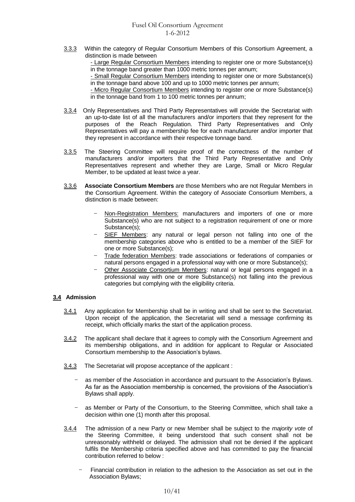3.3.3 Within the category of Regular Consortium Members of this Consortium Agreement, a distinction is made between

- Large Regular Consortium Members intending to register one or more Substance(s) in the tonnage band greater than 1000 metric tonnes per annum;

- Small Regular Consortium Members intending to register one or more Substance(s) in the tonnage band above 100 and up to 1000 metric tonnes per annum;

- Micro Regular Consortium Members intending to register one or more Substance(s) in the tonnage band from 1 to 100 metric tonnes per annum;

- 3.3.4 Only Representatives and Third Party Representatives will provide the Secretariat with an up-to-date list of all the manufacturers and/or importers that they represent for the purposes of the Reach Regulation. Third Party Representatives and Only Representatives will pay a membership fee for each manufacturer and/or importer that they represent in accordance with their respective tonnage band.
- 3.3.5 The Steering Committee will require proof of the correctness of the number of manufacturers and/or importers that the Third Party Representative and Only Representatives represent and whether they are Large, Small or Micro Regular Member, to be updated at least twice a year.
- 3.3.6 **Associate Consortium Members** are those Members who are not Regular Members in the Consortium Agreement. Within the category of Associate Consortium Members, a distinction is made between:
	- Non-Registration Members: manufacturers and importers of one or more Substance(s) who are not subject to a registration requirement of one or more Substance(s);
	- SIEF Members: any natural or legal person not falling into one of the membership categories above who is entitled to be a member of the SIEF for one or more Substance(s);
	- Trade federation Members: trade associations or federations of companies or natural persons engaged in a professional way with one or more Substance(s);
	- Other Associate Consortium Members: natural or legal persons engaged in a professional way with one or more Substance(s) not falling into the previous categories but complying with the eligibility criteria.

# **3.4 Admission**

- 3.4.1 Any application for Membership shall be in writing and shall be sent to the Secretariat. Upon receipt of the application, the Secretariat will send a message confirming its receipt, which officially marks the start of the application process.
- 3.4.2 The applicant shall declare that it agrees to comply with the Consortium Agreement and its membership obligations, and in addition for applicant to Regular or Associated Consortium membership to the Association's bylaws.
- 3.4.3 The Secretariat will propose acceptance of the applicant :
	- as member of the Association in accordance and pursuant to the Association's Bylaws. As far as the Association membership is concerned, the provisions of the Association's Bylaws shall apply.
	- as Member or Party of the Consortium, to the Steering Committee, which shall take a decision within one (1) month after this proposal.
- 3.4.4 The admission of a new Party or new Member shall be subject to the *majority vote* of the Steering Committee, it being understood that such consent shall not be unreasonably withheld or delayed. The admission shall not be denied if the applicant fulfils the Membership criteria specified above and has committed to pay the financial contribution referred to below :
	- Financial contribution in relation to the adhesion to the Association as set out in the Association Bylaws;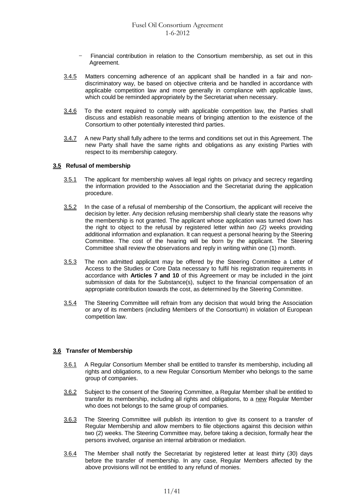- Financial contribution in relation to the Consortium membership, as set out in this Agreement.
- 3.4.5 Matters concerning adherence of an applicant shall be handled in a fair and nondiscriminatory way, be based on objective criteria and be handled in accordance with applicable competition law and more generally in compliance with applicable laws, which could be reminded appropriately by the Secretariat when necessary.
- 3.4.6 To the extent required to comply with applicable competition law, the Parties shall discuss and establish reasonable means of bringing attention to the existence of the Consortium to other potentially interested third parties.
- 3.4.7 A new Party shall fully adhere to the terms and conditions set out in this Agreement. The new Party shall have the same rights and obligations as any existing Parties with respect to its membership category.

#### **3.5 Refusal of membership**

- 3.5.1 The applicant for membership waives all legal rights on privacy and secrecy regarding the information provided to the Association and the Secretariat during the application procedure.
- 3.5.2 In the case of a refusal of membership of the Consortium, the applicant will receive the decision by letter. Any decision refusing membership shall clearly state the reasons why the membership is not granted. The applicant whose application was turned down has the right to object to the refusal by registered letter within *two (2)* weeks providing additional information and explanation. It can request a personal hearing by the Steering Committee. The cost of the hearing will be born by the applicant. The Steering Committee shall review the observations and reply in writing within one (1) month.
- 3.5.3 The non admitted applicant may be offered by the Steering Committee a Letter of Access to the Studies or Core Data necessary to fulfil his registration requirements in accordance with **Articles 7 and 10** of this Agreement or may be included in the joint submission of data for the Substance(s), subject to the financial compensation of an appropriate contribution towards the cost, as determined by the Steering Committee.
- 3.5.4 The Steering Committee will refrain from any decision that would bring the Association or any of its members (including Members of the Consortium) in violation of European competition law.

# **3.6 Transfer of Membership**

- 3.6.1 A Regular Consortium Member shall be entitled to transfer its membership, including all rights and obligations, to a new Regular Consortium Member who belongs to the same group of companies.
- 3.6.2 Subject to the consent of the Steering Committee, a Regular Member shall be entitled to transfer its membership, including all rights and obligations, to a new Regular Member who does not belongs to the same group of companies.
- 3.6.3 The Steering Committee will publish its intention to give its consent to a transfer of Regular Membership and allow members to file objections against this decision within two (2) weeks. The Steering Committee may, before taking a decision, formally hear the persons involved, organise an internal arbitration or mediation.
- 3.6.4 The Member shall notify the Secretariat by registered letter at least thirty (*3*0) days before the transfer of membership. In any case, Regular Members affected by the above provisions will not be entitled to any refund of monies.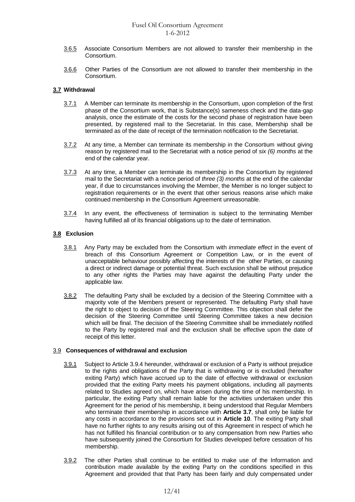- 3.6.5 Associate Consortium Members are not allowed to transfer their membership in the Consortium.
- 3.6.6 Other Parties of the Consortium are not allowed to transfer their membership in the Consortium.

# **3.7 Withdrawal**

- 3.7.1 A Member can terminate its membership in the Consortium, upon completion of the first phase of the Consortium work, that is Substance(s) sameness check and the data-gap analysis, once the estimate of the costs for the second phase of registration have been presented, by registered mail to the Secretariat. In this case, Membership shall be terminated as of the date of receipt of the termination notification to the Secretariat.
- 3.7.2 At any time, a Member can terminate its membership in the Consortium without giving reason by registered mail to the Secretariat with a notice period of *six (6) months* at the end of the calendar year.
- 3.7.3 At any time, a Member can terminate its membership in the Consortium by registered mail to the Secretariat with a notice period of *three (3) months* at the end of the calendar year, if due to circumstances involving the Member, the Member is no longer subject to registration requirements or in the event that other serious reasons arise which make continued membership in the Consortium Agreement unreasonable.
- 3.7.4 In any event, the effectiveness of termination is subject to the terminating Member having fulfilled all of its financial obligations up to the date of termination.

#### **3.8 Exclusion**

- 3.8.1 Any Party may be excluded from the Consortium with *immediate effect* in the event of breach of this Consortium Agreement or Competition Law, or in the event of unacceptable behaviour possibly affecting the interests of the other Parties, or causing a direct or indirect damage or potential threat. Such exclusion shall be without prejudice to any other rights the Parties may have against the defaulting Party under the applicable law.
- 3.8.2 The defaulting Party shall be excluded by a decision of the Steering Committee with a majority vote of the Members present or represented. The defaulting Party shall have the right to object to decision of the Steering Committee. This objection shall defer the decision of the Steering Committee until Steering Committee takes a new decision which will be final. The decision of the Steering Committee shall be immediately notified to the Party by registered mail and the exclusion shall be effective upon the date of receipt of this letter.

#### 3.9 **Consequences of withdrawal and exclusion**

- 3.9.1 Subject to Article 3.9.4 hereunder, withdrawal or exclusion of a Party is without prejudice to the rights and obligations of the Party that is withdrawing or is excluded (hereafter exiting Party) which have accrued up to the date of effective withdrawal or exclusion provided that the exiting Party meets his payment obligations, including all payments related to Studies agreed on, which have arisen during the time of his membership. In particular, the exiting Party shall remain liable for the activities undertaken under this Agreement for the period of his membership, it being understood that Regular Members who terminate their membership in accordance with **Article 3.7**, shall only be liable for any costs in accordance to the provisions set out in **Article 10**. The exiting Party shall have no further rights to any results arising out of this Agreement in respect of which he has not fulfilled his financial contribution or to any compensation from new Parties who have subsequently joined the Consortium for Studies developed before cessation of his membership.
- 3.9.2 The other Parties shall continue to be entitled to make use of the Information and contribution made available by the exiting Party on the conditions specified in this Agreement and provided that that Party has been fairly and duly compensated under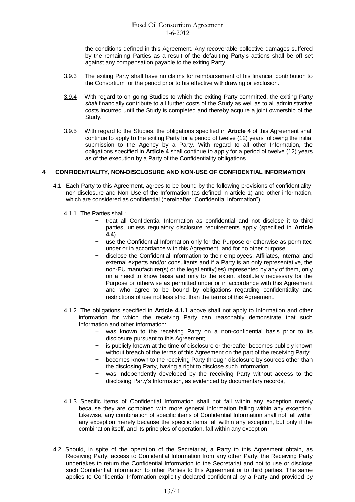the conditions defined in this Agreement. Any recoverable collective damages suffered by the remaining Parties as a result of the defaulting Party's actions shall be off set against any compensation payable to the exiting Party.

- 3.9.3 The exiting Party shall have no claims for reimbursement of his financial contribution to the Consortium for the period prior to his effective withdrawing or exclusion.
- 3.9.4 With regard to on-going Studies to which the exiting Party committed, the exiting Party *shall* financially contribute to all further costs of the Study as well as to all administrative costs incurred until the Study is completed and thereby acquire a joint ownership of the Study.
- 3.9.5 With regard to the Studies, the obligations specified in **Article 4** of this Agreement shall continue to apply to the exiting Party for a period of twelve (12) years following the initial submission to the Agency by a Party. With regard to all other Information, the obligations specified in **Article 4** shall continue to apply for a period of twelve (12) years as of the execution by a Party of the Confidentiality obligations.

# **4 CONFIDENTIALITY, NON-DISCLOSURE AND NON-USE OF CONFIDENTIAL INFORMATION**

- 4.1. Each Party to this Agreement, agrees to be bound by the following provisions of confidentiality, non-disclosure and Non-Use of the Information (as defined in article 1) and other information, which are considered as confidential (hereinafter "Confidential Information").
	- 4.1.1. The Parties shall :
		- treat all Confidential Information as confidential and not disclose it to third parties, unless regulatory disclosure requirements apply (specified in **Article 4.4**).
		- use the Confidential Information only for the Purpose or otherwise as permitted under or in accordance with this Agreement, and for no other purpose.
		- disclose the Confidential Information to their employees, Affiliates, internal and external experts and/or consultants and if a Party is an only representative, the non-EU manufacturer(s) or the legal entity(ies) represented by any of them, only on a need to know basis and only to the extent absolutely necessary for the Purpose or otherwise as permitted under or in accordance with this Agreement and who agree to be bound by obligations regarding confidentiality and restrictions of use not less strict than the terms of this Agreement.
	- 4.1.2. The obligations specified in **Article 4.1.1** above shall not apply to Information and other information for which the receiving Party can reasonably demonstrate that such Information and other information:
		- was known to the receiving Party on a non-confidential basis prior to its disclosure pursuant to this Agreement;
		- is publicly known at the time of disclosure or thereafter becomes publicly known without breach of the terms of this Agreement on the part of the receiving Party;
		- becomes known to the receiving Party through disclosure by sources other than the disclosing Party, having a right to disclose such Information,
		- was independently developed by the receiving Party without access to the disclosing Party's Information, as evidenced by documentary records,
	- 4.1.3. Specific items of Confidential Information shall not fall within any exception merely because they are combined with more general information falling within any exception. Likewise, any combination of specific items of Confidential Information shall not fall within any exception merely because the specific items fall within any exception, but only if the combination itself, and its principles of operation, fall within any exception.
- 4.2. Should, in spite of the operation of the Secretariat, a Party to this Agreement obtain, as Receiving Party, access to Confidential Information from any other Party, the Receiving Party undertakes to return the Confidential Information to the Secretariat and not to use or disclose such Confidential Information to other Parties to this Agreement or to third parties. The same applies to Confidential Information explicitly declared confidential by a Party and provided by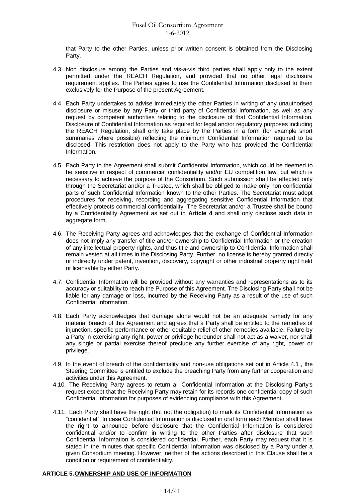that Party to the other Parties, unless prior written consent is obtained from the Disclosing Party.

- 4.3. Non disclosure among the Parties and vis-a-vis third parties shall apply only to the extent permitted under the REACH Regulation, and provided that no other legal disclosure requirement applies. The Parties agree to use the Confidential Information disclosed to them exclusively for the Purpose of the present Agreement.
- 4.4. Each Party undertakes to advise immediately the other Parties in writing of any unauthorised disclosure or misuse by any Party or third party of Confidential Information, as well as any request by competent authorities relating to the disclosure of that Confidential Information. Disclosure of Confidential Information as required for legal and/or regulatory purposes including the REACH Regulation, shall only take place by the Parties in a form (for example short summaries where possible) reflecting the minimum Confidential Information required to be disclosed. This restriction does not apply to the Party who has provided the Confidential Information.
- 4.5. Each Party to the Agreement shall submit Confidential Information, which could be deemed to be sensitive in respect of commercial confidentiality and/or EU competition law, but which is necessary to achieve the purpose of the Consortium. Such submission shall be effected only through the Secretariat and/or a Trustee, which shall be obliged to make only non confidential parts of such Confidential Information known to the other Parties. The Secretariat must adopt procedures for receiving, recording and aggregating sensitive Confidential Information that effectively protects commercial confidentiality. The Secretariat and/or a Trustee shall be bound by a Confidentiality Agreement as set out in **Article 4** and shall only disclose such data in aggregate form.
- 4.6. The Receiving Party agrees and acknowledges that the exchange of Confidential Information does not imply any transfer of title and/or ownership to Confidential Information or the creation of any intellectual property rights, and thus title and ownership to Confidential Information shall remain vested at all times in the Disclosing Party. Further, no license is hereby granted directly or indirectly under patent, invention, discovery, copyright or other industrial property right held or licensable by either Party.
- 4.7. Confidential Information will be provided without any warranties and representations as to its accuracy or suitability to reach the Purpose of this Agreement. The Disclosing Party shall not be liable for any damage or loss, incurred by the Receiving Party as a result of the use of such Confidential Information.
- 4.8. Each Party acknowledges that damage alone would not be an adequate remedy for any material breach of this Agreement and agrees that a Party shall be entitled to the remedies of injunction, specific performance or other equitable relief of other remedies available. Failure by a Party in exercising any right, power or privilege hereunder shall not act as a waiver, nor shall any single or partial exercise thereof preclude any further exercise of any right, power or privilege.
- 4.9. In the event of breach of the confidentiality and non-use obligations set out in Article 4.1 , the Steering Committee is entitled to exclude the breaching Party from any further cooperation and activities under this Agreement.
- 4.10. The Receiving Party agrees to return all Confidential Information at the Disclosing Party's request except that the Receiving Party may retain for its records one confidential copy of such Confidential Information for purposes of evidencing compliance with this Agreement.
- 4.11. Each Party shall have the right (but not the obligation) to mark its Confidential Information as "confidential". In case Confidential Information is disclosed in oral form each Member shall have the right to announce before disclosure that the Confidential Information is considered confidential and/or to confirm in writing to the other Parties after disclosure that such Confidential Information is considered confidential. Further, each Party may request that it is stated in the minutes that specific Confidential Information was disclosed by a Party under a given Consortium meeting. However, neither of the actions described in this Clause shall be a condition or requirement of confidentiality.

# **ARTICLE 5.OWNERSHIP AND USE OF INFORMATION**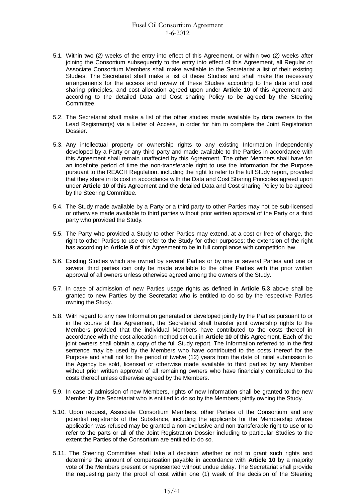- 5.1. Within two (*2)* weeks of the entry into effect of this Agreement, or within two (*2)* weeks after joining the Consortium subsequently to the entry into effect of this Agreement, all Regular or Associate Consortium Members shall make available to the Secretariat a list of their existing Studies. The Secretariat shall make a list of these Studies and shall make the necessary arrangements for the access and review of these Studies according to the data and cost sharing principles, and cost allocation agreed upon under **Article 10** of this Agreement and according to the detailed Data and Cost sharing Policy to be agreed by the Steering Committee.
- 5.2. The Secretariat shall make a list of the other studies made available by data owners to the Lead Registrant(s) via a Letter of Access, in order for him to complete the Joint Registration Dossier.
- 5.3. Any intellectual property or ownership rights to any existing Information independently developed by a Party or any third party and made available to the Parties in accordance with this Agreement shall remain unaffected by this Agreement. The other Members shall have for an indefinite period of time the non-transferable right to use the Information for the Purpose pursuant to the REACH Regulation, including the right to refer to the full Study report, provided that they share in its cost in accordance with the Data and Cost Sharing Principles agreed upon under **Article 10** of this Agreement and the detailed Data and Cost sharing Policy to be agreed by the Steering Committee.
- 5.4. The Study made available by a Party or a third party to other Parties may not be sub-licensed or otherwise made available to third parties without prior written approval of the Party or a third party who provided the Study*.*
- 5.5. The Party who provided a Study to other Parties may extend, at a cost or free of charge, the right to other Parties to use or refer to the Study for other purposes; the extension of the right has according to **Article 9** of this Agreement to be in full compliance with competition law.
- 5.6. Existing Studies which are owned by several Parties or by one or several Parties and one or several third parties can only be made available to the other Parties with the prior written approval of all owners unless otherwise agreed among the owners of the Study.
- 5.7. In case of admission of new Parties usage rights as defined in **Article 5.3** above shall be granted to new Parties by the Secretariat who is entitled to do so by the respective Parties owning the Study.
- 5.8. With regard to any new Information generated or developed jointly by the Parties pursuant to or in the course of this Agreement, the Secretariat shall transfer joint ownership rights to the Members provided that the individual Members have contributed to the costs thereof in accordance with the cost allocation method set out in **Article 10** of this Agreement. Each of the joint owners shall obtain a copy of the full Study report. The Information referred to in the first sentence may be used by the Members who have contributed to the costs thereof for the Purpose and shall not for the period of twelve (12) years from the date of initial submission to the Agency be sold, licensed or otherwise made available to third parties by any Member without prior written approval of all remaining owners who have financially contributed to the costs thereof unless otherwise agreed by the Members.
- 5.9. In case of admission of new Members, rights of new Information shall be granted to the new Member by the Secretariat who is entitled to do so by the Members jointly owning the Study.
- 5.10. Upon request, Associate Consortium Members, other Parties of the Consortium and any potential registrants of the Substance, including the applicants for the Membership whose application was refused may be granted a non-exclusive and non-transferable right to use or to refer to the parts or all of the Joint Registration Dossier including to particular Studies to the extent the Parties of the Consortium are entitled to do so.
- 5.11. The Steering Committee shall take all decision whether or not to grant such rights and determine the amount of compensation payable in accordance with **Article 10** by a majority vote of the Members present or represented without undue delay. The Secretariat shall provide the requesting party the proof of cost within one (1) week of the decision of the Steering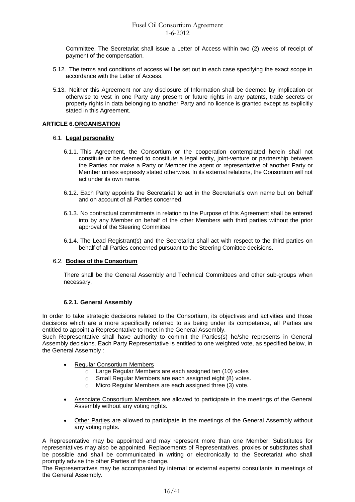Committee. The Secretariat shall issue a Letter of Access within two (2) weeks of receipt of payment of the compensation*.*

- 5.12. The terms and conditions of access will be set out in each case specifying the exact scope in accordance with the Letter of Access.
- 5.13. Neither this Agreement nor any disclosure of Information shall be deemed by implication or otherwise to vest in one Party any present or future rights in any patents, trade secrets or property rights in data belonging to another Party and no licence is granted except as explicitly stated in this Agreement.

# **ARTICLE 6.ORGANISATION**

# 6.1. **Legal personality**

- 6.1.1. This Agreement, the Consortium or the cooperation contemplated herein shall not constitute or be deemed to constitute a legal entity, joint-venture or partnership between the Parties nor make a Party or Member the agent or representative of another Party or Member unless expressly stated otherwise. In its external relations, the Consortium will not act under its own name.
- 6.1.2. Each Party appoints the Secretariat to act in the Secretariat's own name but on behalf and on account of all Parties concerned.
- 6.1.3. No contractual commitments in relation to the Purpose of this Agreement shall be entered into by any Member on behalf of the other Members with third parties without the prior approval of the Steering Committee
- 6.1.4. The Lead Registrant(s) and the Secretariat shall act with respect to the third parties on behalf of all Parties concerned pursuant to the Steering Comittee decisions.

# 6.2. **Bodies of the Consortium**

There shall be the General Assembly and Technical Committees and other sub-groups when necessary.

# **6.2.1. General Assembly**

In order to take strategic decisions related to the Consortium, its objectives and activities and those decisions which are a more specifically referred to as being under its competence, all Parties are entitled to appoint a Representative to meet in the General Assembly.

Such Representative shall have authority to commit the Parties(s) he/she represents in General Assembly decisions. Each Party Representative is entitled to one weighted vote, as specified below, in the General Assembly :

- Regular Consortium Members
	- o Large Regular Members are each assigned ten (10) votes
	- o Small Regular Members are each assigned eight (8) votes.
	- o Micro Regular Members are each assigned three (3) vote.
- Associate Consortium Members are allowed to participate in the meetings of the General Assembly without any voting rights.
- Other Parties are allowed to participate in the meetings of the General Assembly without any voting rights.

A Representative may be appointed and may represent more than one Member. Substitutes for representatives may also be appointed. Replacements of Representatives, proxies or substitutes shall be possible and shall be communicated in writing or electronically to the Secretariat who shall promptly advise the other Parties of the change*.*

The Representatives may be accompanied by internal or external experts/ consultants in meetings of the General Assembly.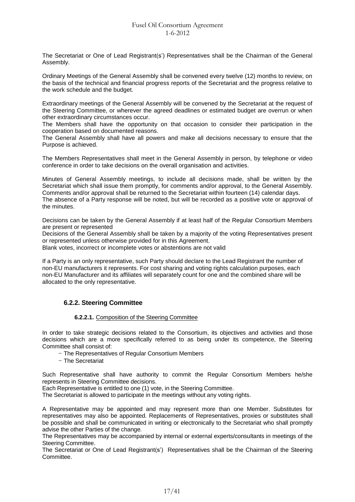The Secretariat or One of Lead Registrant(s') Representatives shall be the Chairman of the General Assembly.

Ordinary Meetings of the General Assembly shall be convened every twelve (12) months to review, on the basis of the technical and financial progress reports of the Secretariat and the progress relative to the work schedule and the budget.

Extraordinary meetings of the General Assembly will be convened by the Secretariat at the request of the Steering Committee, or wherever the agreed deadlines or estimated budget are overrun or when other extraordinary circumstances occur.

The Members shall have the opportunity on that occasion to consider their participation in the cooperation based on documented reasons.

The General Assembly shall have all powers and make all decisions necessary to ensure that the Purpose is achieved.

The Members Representatives shall meet in the General Assembly in person, by telephone or video conference in order to take decisions on the overall organisation and activities.

Minutes of General Assembly meetings, to include all decisions made, shall be written by the Secretariat which shall issue them promptly, for comments and/or approval, to the General Assembly. Comments and/or approval shall be returned to the Secretariat within fourteen (14) calendar days. The absence of a Party response will be noted, but will be recorded as a positive vote or approval of

the minutes.

Decisions can be taken by the General Assembly if at least half of the Regular Consortium Members are present or represented

Decisions of the General Assembly shall be taken by a majority of the voting Representatives present or represented unless otherwise provided for in this Agreement.

Blank votes, incorrect or incomplete votes or abstentions are not valid

If a Party is an only representative, such Party should declare to the Lead Registrant the number of non-EU manufacturers it represents. For cost sharing and voting rights calculation purposes, each non-EU Manufacturer and its affiliates will separately count for one and the combined share will be allocated to the only representative.

# **6.2.2. Steering Committee**

#### **6.2.2.1.** Composition of the Steering Committee

In order to take strategic decisions related to the Consortium, its objectives and activities and those decisions which are a more specifically referred to as being under its competence, the Steering Committee shall consist of:

- The Representatives of Regular Consortium Members
- The Secretariat

Such Representative shall have authority to commit the Regular Consortium Members he/she represents in Steering Committee decisions.

Each Representative is entitled to one (1) vote, in the Steering Committee.

The Secretariat is allowed to participate in the meetings without any voting rights.

A Representative may be appointed and may represent more than one Member. Substitutes for representatives may also be appointed. Replacements of Representatives, proxies or substitutes shall be possible and shall be communicated in writing or electronically to the Secretariat who shall promptly advise the other Parties of the change*.*

The Representatives may be accompanied by internal or external experts/consultants in meetings of the Steering Committee.

The Secretariat or One of Lead Registrant(s') Representatives shall be the Chairman of the Steering Committee.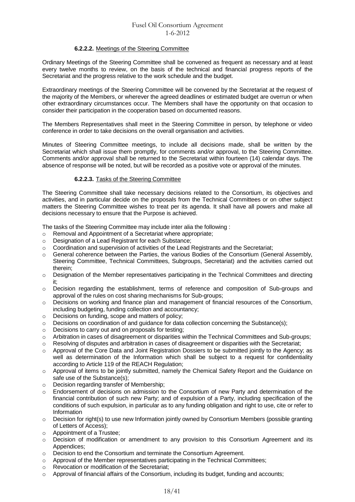# **6.2.2.2.** Meetings of the Steering Committee

Ordinary Meetings of the Steering Committee shall be convened as frequent as necessary and at least every twelve months to review, on the basis of the technical and financial progress reports of the Secretariat and the progress relative to the work schedule and the budget.

Extraordinary meetings of the Steering Committee will be convened by the Secretariat at the request of the majority of the Members, or wherever the agreed deadlines or estimated budget are overrun or when other extraordinary circumstances occur. The Members shall have the opportunity on that occasion to consider their participation in the cooperation based on documented reasons.

The Members Representatives shall meet in the Steering Committee in person, by telephone or video conference in order to take decisions on the overall organisation and activities.

Minutes of Steering Committee meetings, to include all decisions made, shall be written by the Secretariat which shall issue them promptly, for comments and/or approval, to the Steering Committee. Comments and/or approval shall be returned to the Secretariat within fourteen (14) calendar days. The absence of response will be noted, but will be recorded as a positive vote or approval of the minutes.

# **6.2.2.3.** Tasks of the Steering Committee

The Steering Committee shall take necessary decisions related to the Consortium, its objectives and activities, and in particular decide on the proposals from the Technical Committees or on other subject matters the Steering Committee wishes to treat per its agenda. It shall have all powers and make all decisions necessary to ensure that the Purpose is achieved.

The tasks of the Steering Committee may include inter alia the following :

- o Removal and Appointment of a Secretariat where appropriate;
- o Designation of a Lead Registrant for each Substance;
- o Coordination and supervision of activities of the Lead Registrants and the Secretariat;
- o General coherence between the Parties, the various Bodies of the Consortium (General Assembly, Steering Committee, Technical Committees, Subgroups, Secretariat) and the activities carried out therein;
- o Designation of the Member representatives participating in the Technical Committees and directing it;
- o Decision regarding the establishment, terms of reference and composition of Sub-groups and approval of the rules on cost sharing mechanisms for Sub-groups;
- o Decisions on working and finance plan and management of financial resources of the Consortium, including budgeting, funding collection and accountancy;
- o Decisions on funding, scope and matters of policy;
- $\circ$  Decisions on coordination of and quidance for data collection concerning the Substance(s):
- o Decisions to carry out and on proposals for testing;
- o Arbitration in cases of disagreement or disparities within the Technical Committees and Sub-groups;
- $\circ$  Resolving of disputes and arbitration in cases of disagreement or disparities with the Secretariat;
- o Approval of the Core Data and Joint Registration Dossiers to be submitted jointly to the Agency; as well as determination of the Information which shall be subject to a request for confidentiality according to Article 119 of the REACH Regulation;
- o Approval of items to be jointly submitted, namely the Chemical Safety Report and the Guidance on safe use of the Substance(s);
- o Decision regarding transfer of Membership;
- o Endorsement of decisions on admission to the Consortium of new Party and determination of the financial contribution of such new Party; and of expulsion of a Party, including specification of the conditions of such expulsion, in particular as to any funding obligation and right to use, cite or refer to Information
- o Decision for right(s) to use new Information jointly owned by Consortium Members (possible granting of Letters of Access);
- o Appointment of a Trustee;
- $\circ$  Decision of modification or amendment to any provision to this Consortium Agreement and its Appendices;
- o Decision to end the Consortium and terminate the Consortium Agreement.
- $\circ$  Approval of the Member representatives participating in the Technical Committees;
- o Revocation or modification of the Secretariat;
- $\circ$  Approval of financial affairs of the Consortium, including its budget, funding and accounts;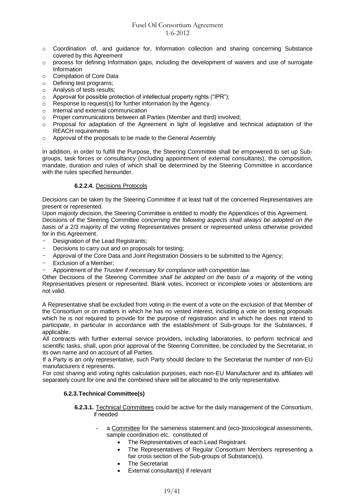- o Coordination of, and guidance for, Information collection and sharing concerning Substance covered by this Agreement
- $\circ$  process for defining Information gaps, including the development of waivers and use of surrogate Information
- o Compilation of Core Data
- o Defining test programs;
- o Analysis of tests results;
- o Approval for possible protection of intellectual property rights ("IPR");
- o Response to request(s) for further information by the Agency.
- o Internal and external communication
- o Proper communications between all Parties (Member and third) involved;
- o Proposal for adaptation of the Agreement in light of legislative and technical adaptation of the REACH requirements
- o Approval of the proposals to be made to the General Assembly

In addition, in order to fulfill the Purpose, the Steering Committee shall be empowered to set up Subgroups, task forces or consultancy (including appointment of external consultants), the composition, mandate, duration and rules of which shall be determined by the Steering Committee in accordance with the rules specified hereunder.

# **6.2.2.4.** Decisions Protocols

Decisions can be taken by the Steering Committee if at least half of the concerned Representatives are present or represented.

Upon *majority d*ecision, the Steering Committee is entitled to modify the Appendices of this Agreement. Decisions of the Steering Committee *concerning the following aspects shall always be adopted on the basis of a* 2/3 majority of the voting Representatives present or represented unless otherwise provided for in this Agreement.

- Designation of the Lead Registrants;
- Decisions to carry out and on proposals for testing;
- Approval of the Core Data and Joint Registration Dossiers to be submitted to the Agency;
- Exclusion of a Member:
- Appointment *of the Trustee if necessary for compliance with competition law.*

Other Decisions of the Steering Committee *shall be adopted on the basis of a* majority of the voting Representatives present or represented. Blank votes, incorrect or incomplete votes or abstentions are not valid.

A Representative shall be excluded from voting in the event of a vote on the exclusion of that Member of the Consortium or on matters in which he has no vested interest, including a vote on testing proposals which he is not required to provide for the purpose of registration and in which he does not intend to participate, in particular in accordance with the establishment of Sub-groups for the Substances, if applicable.

All contracts with further external service providers, including laboratories, to perform technical and scientific tasks, shall, upon prior approval of the Steering Committee, be concluded by the Secretariat, in its own name and on account of all Parties.

If a Party is an only representative, such Party should declare to the Secretariat the number of non-EU manufacturers it represents.

For cost sharing and voting rights calculation purposes, each non-EU Manufacturer and its affiliates will separately count for one and the combined share will be allocated to the only representative.

# **6.2.3.Technical Committee(s)**

- **6.2.3.1.** Technical Committees could be active for the daily management of the Consortium, if needed
	- a Committee for the sameness statement and (eco-)toxicological assessments, sample coordination etc. constituted of
		- The Representatives of each Lead Registrant.
		- The Representatives of Regular Consortium Members representing a fair cross section of the Sub-groups of Substance(s).
		- The Secretariat
		- External consultant(s) if relevant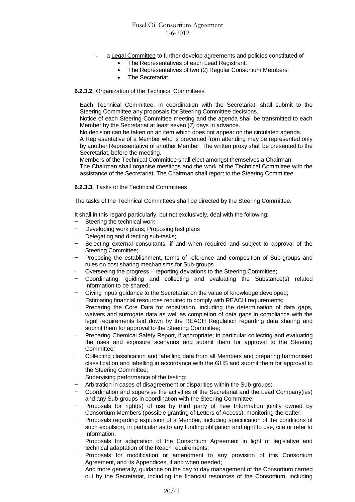- a Legal Committee to further develop agreements and policies constituted of
	- The Representatives of each Lead Registrant.
	- The Representatives of two (2) Regular Consortium Members
	- The Secretariat

### **6.2.3.2.** Organization of the Technical Committees

Each Technical Committee, in coordination with the Secretariat, shall submit to the Steering Committee any proposals for Steering Committee decisions.

Notice of each Steering Committee meeting and the agenda shall be transmitted to each Member by the Secretariat at least seven (*7)* days in advance.

No decision can be taken on an item which does not appear on the circulated agenda.

A Representative of a Member who is prevented from attending may be represented only by another Representative of another Member. The written proxy shall be presented to the Secretariat, before the meeting.

Members of the Technical Committee shall elect amongst themselves a Chairman.

The Chairman shall organise meetings and the work of the Technical Committee with the assistance of the Secretariat. The Chairman shall report to the Steering Committee.

#### **6.2.3.3.** Tasks of the Technical Committees

The tasks of the Technical Committees shall be directed by the Steering Committee.

It shall in this regard particularly, but not exclusively, deal with the following:

- Steering the technical work;
- Developing work plans; Proposing test plans
- Delegating and directing sub-tasks;
- Selecting external consultants, if and when required and subject to approval of the Steering Committee;
- Proposing the establishment, terms of reference and composition of Sub-groups and rules on cost sharing mechanisms for Sub-groups
- Overseeing the progress reporting deviations to the Steering Committee;
- Coordinating, guiding and collecting and evaluating the Substance(s) related Information to be shared;
- Giving input/ guidance to the Secretariat on the value of knowledge developed;
- Estimating financial resources required to comply with REACH requirements;
- Preparing the Core Data for registration, including the determination of data gaps, waivers and surrogate data as well as completion of data gaps in compliance with the legal requirements laid down by the REACH Regulation regarding data sharing and submit them for approval to the Steering Committee;
- Preparing Chemical Safety Report, if appropriate; in particular collecting and evaluating the uses and exposure scenarios and submit them for approval to the Steering Committee*;*
- Collecting classification and labelling data from all Members and preparing harmonised classification and labelling in accordance with the GHS and submit them for approval to the Steering Committee;
- Supervising performance of the testing;
- Arbitration in cases of disagreement or disparities within the Sub-groups;
- Coordination and supervise the activities of the Secretariat and the Lead Company(ies) and any Sub-groups in coordination with the Steering Committee;
- Proposals for right(s) of use by third party of new Information jointly owned by Consortium Members (possible granting of Letters of Access); monitoring thereafter;
- Proposals regarding expulsion of a Member, including specification of the conditions of such expulsion, in particular as to any funding obligation and right to use, cite or refer to Information;
- Proposals for adaptation of the Consortium Agreement in light of legislative and technical adaptation of the Reach requirements;
- Proposals for modification or amendment to any provision of this Consortium Agreement, and its Appendices, if and when needed;
- And more generally, guidance on the day to day management of the Consortium carried out by the Secretariat, including the financial resources of the Consortium, including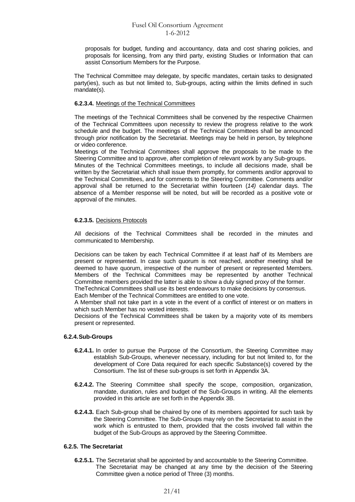proposals for budget, funding and accountancy, data and cost sharing policies, and proposals for licensing, from any third party, existing Studies or Information that can assist Consortium Members for the Purpose.

The Technical Committee may delegate, by specific mandates, certain tasks to designated party(ies), such as but not limited to, Sub-groups, acting within the limits defined in such mandate(s).

### **6.2.3.4.** Meetings of the Technical Committees

The meetings of the Technical Committees shall be convened by the respective Chairmen of the Technical Committees upon necessity to review the progress relative to the work schedule and the budget. The meetings of the Technical Committees shall be announced through prior notification by the Secretariat. Meetings may be held in person, by telephone or video conference.

Meetings of the Technical Committees shall approve the proposals to be made to the Steering Committee and to approve, after completion of relevant work by any Sub-groups.

Minutes of the Technical Committees meetings, to include all decisions made, shall be written by the Secretariat which shall issue them promptly, for comments and/or approval to the Technical Committees, and for comments to the Steering Committee. Comments and/or approval shall be returned to the Secretariat within fourteen (*14)* calendar days. The absence of a Member response will be noted, but will be recorded as a positive vote or approval of the minutes.

# **6.2.3.5.** Decisions Protocols

All decisions of the Technical Committees shall be recorded in the minutes and communicated to Membership.

Decisions can be taken by each Technical Committee if at least *half* of its Members are present or represented. In case such quorum is not reached, another meeting shall be deemed to have quorum, irrespective of the number of present or represented Members. Members of the Technical Committees may be represented by another Technical Committee members provided the latter is able to show a duly signed proxy of the former. TheTechnical Committees shall use its best endeavours to make decisions by consensus*.*

Each Member of the Technical Committees are entitled to one vote.

A Member shall not take part in a vote in the event of a conflict of interest or on matters in which such Member has no vested interests.

Decisions of the Technical Committees shall be taken by a majority vote of its members present or represented.

# **6.2.4.Sub-Groups**

- **6.2.4.1.** In order to pursue the Purpose of the Consortium, the Steering Committee may establish Sub-Groups, whenever necessary, including for but not limited to, for the development of Core Data required for each specific Substance(s) covered by the Consortium. The list of these sub-groups is set forth in Appendix 3A.
- **6.2.4.2.** The Steering Committee shall specify the scope, composition, organization, mandate, duration, rules and budget of the Sub-Groups in writing. All the elements provided in this article are set forth in the Appendix 3B.
- **6.2.4.3.** Each Sub-group shall be chaired by one of its members appointed for such task by the Steering Committee. The Sub-Groups may rely on the Secretariat to assist in the work which is entrusted to them, provided that the costs involved fall within the budget of the Sub-Groups as approved by the Steering Committee.

#### **6.2.5. The Secretariat**

**6.2.5.1.** The Secretariat shall be appointed by and accountable to the Steering Committee. The Secretariat may be changed at any time by the decision of the Steering Committee given a notice period of Three (3) months.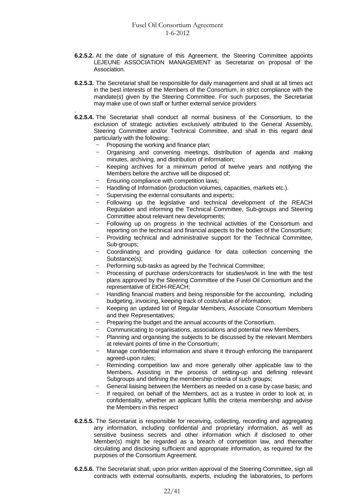- **6.2.5.2.** At the date of signature of this Agreement, the Steering Committee appoints LEJEUNE ASSOCIATION MANAGEMENT as Secretariat on proposal of the Association.
- **6.2.5.3.** The Secretariat shall be responsible for daily management and shall at all times act in the best interests of the Members of the Consortium, in strict compliance with the mandate(s) given by the Steering Committee. For such purposes, the Secretariat may make use of own staff or further external service providers
- . **6.2.5.4.** The Secretariat shall conduct all normal business of the Consortium, to the exclusion of strategic activities exclusively attributed to the General Assembly, Steering Committee and/or Technical Committee, and shall in this regard deal particularly with the following:
	- Proposing the working and finance plan;
	- Organising and convening meetings, distribution of agenda and making minutes, archiving, and distribution of information;
	- Keeping archives for a minimum period of twelve years and notifying the Members before the archive will be disposed of;
	- Ensuring compliance with competition laws;
	- Handling of Information (production volumes, capacities, markets etc.).
	- Supervising the external consultants and experts;
	- Following up the legislative and technical development of the REACH Regulation and informing the Technical Committee, Sub-groups and Steering Committee about relevant new developments;
	- Following up on progress in the technical activities of the Consortium and reporting on the technical and financial aspects to the bodies of the Consortium;
	- Providing technical and administrative support for the Technical Committee, Sub-groups;
	- Coordinating and providing guidance for data collection concerning the Substance(s):
	- Performing sub-tasks as agreed by the Technical Committee;
	- Processing of purchase orders/contracts for studies/work in line with the test plans approved by the Steering Committee of the Fusel Oil Consortium and the representative of EtOH-REACH;
	- Handling financial matters and being responsible for the accounting, including budgeting, invoicing, keeping track of costs/value of information;
	- Keeping an updated list of Regular Members, Associate Consortium Members and their Representatives;
	- Preparing the budget and the annual accounts of the Consortium.
	- Communicating to organisations, associations and potential new Members.
	- Planning and organising the subjects to be discussed by the relevant Members at relevant points of time in the Consortium;
	- Manage confidential information and share it through enforcing the transparent agreed-upon rules;
	- Reminding competition law and more generally other applicable law to the Members, Assisting in the process of setting-up and defining relevant Subgroups and defining the membership criteria of such groups;
	- General liaising between the Members as needed on a case by case basis; and
	- If required, on behalf of the Members, act as a trustee in order to look at, in confidentiality, whether an applicant fulfils the criteria membership and advise the Members in this respect
- **6.2.5.5.** The Secretariat is responsible for receiving, collecting, recording and aggregating any information, including confidential and proprietary information, as well as sensitive business secrets and other information which if disclosed to other Member(s) might be regarded as a breach of competition law, and thereafter circulating and disclosing sufficient and appropriate information, as required for the purposes of the Consortium Agreement.
- **6.2.5.6.** The Secretariat shall, upon prior written approval of the Steering Committee, sign all contracts with external consultants, experts, including the laboratories, to perform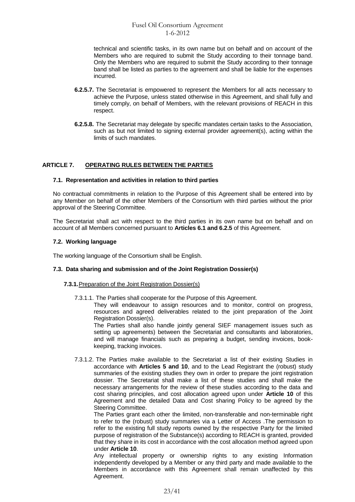technical and scientific tasks, in its own name but on behalf and on account of the Members who are required to submit the Study according to their tonnage band. Only the Members who are required to submit the Study according to their tonnage band shall be listed as parties to the agreement and shall be liable for the expenses incurred.

- **6.2.5.7.** The Secretariat is empowered to represent the Members for all acts necessary to achieve the Purpose, unless stated otherwise in this Agreement, and shall fully and timely comply, on behalf of Members, with the relevant provisions of REACH in this respect.
- **6.2.5.8.** The Secretariat may delegate by specific mandates certain tasks to the Association, such as but not limited to signing external provider agreement(s), acting within the limits of such mandates.

# **ARTICLE 7. OPERATING RULES BETWEEN THE PARTIES**

#### **7.1. Rep**r**esentation and activities in relation to third parties**

No contractual commitments in relation to the Purpose of this Agreement shall be entered into by any Member on behalf of the other Members of the Consortium with third parties without the prior approval of the Steering Committee.

The Secretariat shall act with respect to the third parties in its own name but on behalf and on account of all Members concerned pursuant to **Articles 6.1 and 6.2.5** of this Agreement.

#### **7.2. Working language**

The working language of the Consortium shall be English.

# **7.3. Data sharing and submission and of the Joint Registration Dossier(s)**

#### **7.3.1.** Preparation of the Joint Registration Dossier(s)

7.3.1.1. The Parties shall cooperate for the Purpose of this Agreement.

They will endeavour to assign resources and to monitor, control on progress, resources and agreed deliverables related to the joint preparation of the Joint Registration Dossier(s).

The Parties shall also handle jointly general SIEF management issues such as setting up agreements) between the Secretariat and consultants and laboratories, and will manage financials such as preparing a budget, sending invoices, bookkeeping, tracking invoices.

7.3.1.2. The Parties make available to the Secretariat a list of their existing Studies in accordance with **Articles 5 and 10**, and to the Lead Registrant the (robust) study summaries of the existing studies they own in order to prepare the joint registration dossier. The Secretariat shall make a list of these studies and shall make the necessary arrangements for the review of these studies according to the data and cost sharing principles, and cost allocation agreed upon under **Article 10** of this Agreement and the detailed Data and Cost sharing Policy to be agreed by the Steering Committee.

The Parties grant each other the limited, non-transferable and non-terminable right to refer to the (robust) study summaries via a Letter of Access .The permission to refer to the existing full study reports owned by the respective Party for the limited purpose of registration of the Substance(s) according to REACH is granted, provided that they share in its cost in accordance with the cost allocation method agreed upon under **Article 10**.

Any intellectual property or ownership rights to any existing Information independently developed by a Member or any third party and made available to the Members in accordance with this Agreement shall remain unaffected by this Agreement.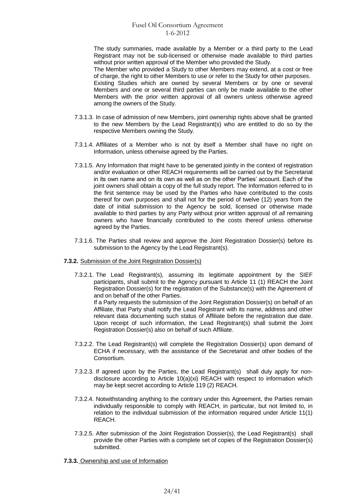The study summaries, made available by a Member or a third party to the Lead Registrant may not be sub-licensed or otherwise made available to third parties without prior written approval of the Member who provided the Study*.*

The Member who provided a Study to other Members may extend, at a cost or free of charge, the right to other Members to use or refer to the Study for other purposes.

Existing Studies which are owned by several Members or by one or several Members and one or several third parties can only be made available to the other Members with the prior written approval of all owners unless otherwise agreed among the owners of the Study.

- 7.3.1.3. In case of admission of new Members, joint ownership rights above shall be granted to the new Members by the Lead Registrant(s) who are entitled to do so by the respective Members owning the Study.
- 7.3.1.4. Affiliates of a Member who is not by itself a Member shall have no right on Information, unless otherwise agreed by the Parties.
- 7.3.1.5. Any Information that might have to be generated jointly in the context of registration and/or evaluation or other REACH requirements will be carried out by the Secretariat in its own name and on its own as well as on the other Parties' account. Each of the joint owners shall obtain a copy of the full study report. The Information referred to in the first sentence may be used by the Parties who have contributed to the costs thereof for own purposes and shall not for the period of twelve (12) years from the date of initial submission to the Agency be sold, licensed or otherwise made available to third parties by any Party without prior written approval of *all* remaining owners who have financially contributed to the costs thereof unless otherwise agreed by the Parties.
- 7.3.1.6. The Parties shall review and approve the Joint Registration Dossier(s) before its submission to the Agency by the Lead Registrant(s).
- **7.3.2.** Submission of the Joint Registration Dossier(s)
	- 7.3.2.1. The Lead Registrant(s)*,* assuming its legitimate appointment by the SIEF participants, shall submit to the Agency pursuant to Article 11 (1) REACH the Joint Registration Dossier(s) for the registration of the Substance(s) with the Agreement of and on behalf of the other Parties. If a Party requests the submission of the Joint Registration Dossier(s) on behalf of an Affiliate, that Party shall notify the Lead Registrant with its name, address and other relevant data documenting such status of Affiliate before the registration due date. Upon receipt of such information, the Lead Registrant(s) shall submit the Joint Registration Dossier(s) also on behalf of such Affiliate.
	- 7.3.2.2. The Lead Registrant(s) will complete the Registration Dossier(s) upon demand of ECHA if necessary, with the assistance of the Secretariat and other bodies of the Consortium.
	- 7.3.2.3. If agreed upon by the Parties, the Lead Registrant(s) shall duly apply for nondisclosure according to Article 10(a)(xi) REACH with respect to information which may be kept secret according to Article 119 (2) REACH.
	- 7.3.2.4. Notwithstanding anything to the contrary under this Agreement, the Parties remain individually responsible to comply with REACH, in particular, but not limited to, in relation to the individual submission of the information required under Article 11(1) REACH.
	- 7.3.2.5. After submission of the Joint Registration Dossier(s), the Lead Registrant(s) shall provide the other Parties with a complete set of copies of the Registration Dossier(s) submitted.

**7.3.3.** Ownership and use of Information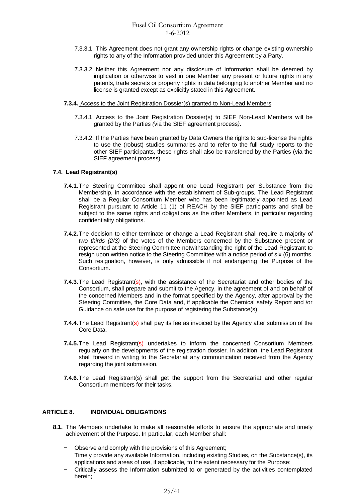- 7.3.3.1. This Agreement does not grant any ownership rights or change existing ownership rights to any of the Information provided under this Agreement by a Party.
- 7.3.3.2. Neither this Agreement nor any disclosure of Information shall be deemed by implication or otherwise to vest in one Member any present or future rights in any patents, trade secrets or property rights in data belonging to another Member and no license is granted except as explicitly stated in this Agreement.
- **7.3.4.** Access to the Joint Registration Dossier(s) granted to Non-Lead Members
	- 7.3.4.1. Access to the Joint Registration Dossier(s) to SIEF Non-Lead Members will be granted by the Parties *(*via the SIEF agreement process*)*.
	- 7.3.4.2. If the Parties have been granted by Data Owners the rights to sub-license the rights to use the (robust) studies summaries and to refer to the full study reports to the other SIEF participants, these rights shall also be transferred by the Parties (via the SIEF agreement process).

# **7.4. Lead Registrant(s)**

- **7.4.1.**The Steering Committee shall appoint one Lead Registrant per Substance from the Membership, in accordance with the establishment of Sub-groups*.* The Lead Registrant shall be a Regular Consortium Member who has been legitimately appointed as Lead Registrant pursuant to Article 11 (1) of REACH by the SIEF participants and shall be subject to the same rights and obligations as the other Members, in particular regarding confidentiality obligations.
- **7.4.2.**The decision to either terminate or change a Lead Registrant shall require a majority *of two thirds (2/3)* of the votes of the Members concerned by the Substance present or represented at the Steering Committee notwithstanding the right of the Lead Registrant to resign upon written notice to the Steering Committee with a notice period of six (6) months. Such resignation, however, is only admissible if not endangering the Purpose of the Consortium.
- **7.4.3.**The Lead Registrant(s), with the assistance of the Secretariat and other bodies of the Consortium, shall prepare and submit to the Agency, in the agreement of and on behalf of the concerned Members and in the format specified by the Agency, after approval by the Steering Committee, the Core Data and, if applicable the Chemical safety Report and /or Guidance on safe use for the purpose of registering the Substance(s).
- **7.4.4.** The Lead Registrant(s) shall pay its fee as invoiced by the Agency after submission of the Core Data.
- **7.4.5.**The Lead Registrant(s) undertakes to inform the concerned Consortium Members regularly on the developments of the registration dossier. In addition, the Lead Registrant shall forward in writing to the Secretariat any communication received from the Agency regarding the joint submission.
- **7.4.6.**The Lead Registrant(s) shall get the support from the Secretariat and other regular Consortium members for their tasks.

# **ARTICLE 8. INDIVIDUAL OBLIGATIONS**

- **8.1.** The Members undertake to make all reasonable efforts to ensure the appropriate and timely achievement of the Purpose. In particular, each Member shall:
	- Observe and comply with the provisions of this Agreement;
	- Timely provide any available Information, including existing Studies, on the Substance(s), its applications and areas of use, if applicable*,* to the extent necessary for the Purpose;
	- Critically assess the Information submitted to or generated by the activities contemplated herein;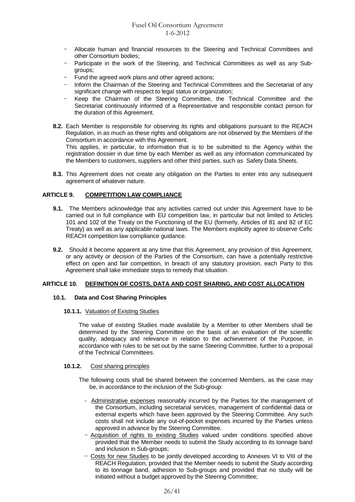- Allocate human and financial resources to the Steering and Technical Committees and other Consortium bodies;
- Participate in the work of the Steering, and Technical Committees as well as any Subgroups;
- Fund the agreed work plans and other agreed actions;
- Inform the Chairman of the Steering and Technical Committees and the Secretariat of any significant change with respect to legal status or organization;
- Keep the Chairman of the Steering Committee, the Technical Committee and the Secretariat continuously informed of a Representative and responsible contact person for the duration of this Agreement.
- **8.2.** Each Member is responsible for observing its rights and obligations pursuant to the REACH Regulation, in as much as these rights and obligations are not observed by the Members of the Consortium in accordance with this Agreement.

This applies, in particular, to information that is to be submitted to the Agency within the registration dossier in due time by each Member as well as any information communicated by the Members to customers, suppliers and other third parties, such as Safety Data Sheets.

**8.3.** This Agreement does not create any obligation on the Parties to enter into any subsequent agreement of whatever nature.

# **ARTICLE 9. COMPETITION LAW COMPLIANCE**

- **9.1.** The Members acknowledge that any activities carried out under this Agreement have to be carried out in full compliance with EU competition law, in particular but not limited to Articles 101 and 102 of the Treaty on the Functioning of the EU (formerly, Articles of 81 and 82 of EC Treaty) as well as any applicable national laws. The Members explicitly agree to observe Cefic REACH competition law compliance guidance.
- **9.2.** Should it become apparent at any time that this Agreement, any provision of this Agreement, or any activity or decision of the Parties of the Consortium, can have a potentially restrictive effect on open and fair competition, in breach of any statutory provision, each Party to this Agreement shall take immediate steps to remedy that situation.

#### **ARTICLE 10. DEFINITION OF COSTS, DATA AND COST SHARING, AND COST ALLOCATION**

#### **10.1. Data and Cost Sharing Principles**

#### **10.1.1.** Valuation of Existing Studies

The value of existing Studies made available by a Member to other Members shall be determined by the Steering Committee on the basis of an evaluation of the scientific quality, adequacy and relevance in relation to the achievement of the Purpose, in accordance with rules to be set out by the same Steering Committee, further to a proposal of the Technical Committees.

#### **10.1.2.** Cost sharing principles

The following costs shall be shared between the concerned Members, as the case may be, in accordance to the inclusion of the Sub-group:

- Administrative expenses reasonably incurred by the Parties for the management of the Consortium, including secretarial services, management of confidential data or external experts which have been approved by the Steering Committee. Any such costs shall not include any out-of-pocket expenses incurred by the Parties unless approved in advance by the Steering Committee.
- Acquisition of rights to existing Studies valued under conditions specified above provided that the Member needs to submit the Study according to its tonnage band and inclusion in Sub-groups;
- Costs for new Studies to be jointly developed according to Annexes VI to VIII of the REACH Regulation, provided that the Member needs to submit the Study according to its tonnage band, adhesion to Sub-groups and provided that no study will be initiated without a budget approved by the Steering Committee;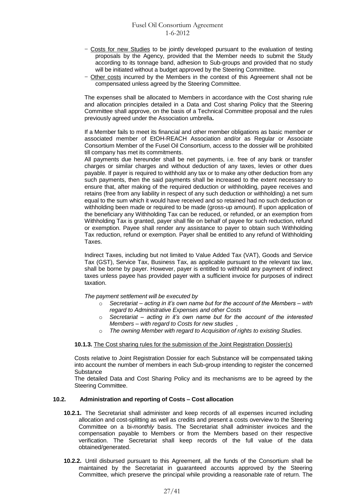- Costs for new Studies to be jointly developed pursuant to the evaluation of testing proposals by the Agency, provided that the Member needs to submit the Study according to its tonnage band, adhesion to Sub-groups and provided that no study will be initiated without a budget approved by the Steering Committee.
- Other costs incurred by the Members in the context of this Agreement shall not be compensated unless agreed by the Steering Committee.

The expenses shall be allocated to Members in accordance with the Cost sharing rule and allocation principles detailed in a Data and Cost sharing Policy that the Steering Committee shall approve, on the basis of a Technical Committee proposal and the rules previously agreed under the Association umbrella**.**

If a Member fails to meet its financial and other member obligations as basic member or associated member of EtOH-REACH Association and/or as Regular or Associate Consortium Member of the Fusel Oil Consortium, access to the dossier will be prohibited till company has met its commitments.

All payments due hereunder shall be net payments, i.e. free of any bank or transfer charges or similar charges and without deduction of any taxes, levies or other dues payable. If payer is required to withhold any tax or to make any other deduction from any such payments, then the said payments shall be increased to the extent necessary to ensure that, after making of the required deduction or withholding, payee receives and retains (free from any liability in respect of any such deduction or withholding) a net sum equal to the sum which it would have received and so retained had no such deduction or withholding been made or required to be made (gross-up amount). If upon application of the beneficiary any Withholding Tax can be reduced, or refunded, or an exemption from Withholding Tax is granted, payer shall file on behalf of payee for such reduction, refund or exemption. Payee shall render any assistance to payer to obtain such Withholding Tax reduction, refund or exemption. Payer shall be entitled to any refund of Withholding Taxes.

Indirect Taxes, including but not limited to Value Added Tax (VAT), Goods and Service Tax (GST), Service Tax, Business Tax, as applicable pursuant to the relevant tax law, shall be borne by payer. However, payer is entitled to withhold any payment of indirect taxes unless payee has provided payer with a sufficient invoice for purposes of indirect taxation.

*The payment settlement will be executed by*

- o *Secretariat – acting in it's own name but for the account of the Members – with regard to Administrative Expenses and other Costs*
- o *Secretariat – acting in it's own name but for the account of the interested Members – with regard to Costs for new studies ,*
- o *The owning Member with regard to Acquisition of rights to existing Studies.*

#### **10.1.3.** The Cost sharing rules for the submission of the Joint Registration Dossier(s)

Costs relative to Joint Registration Dossier for each Substance will be compensated taking into account the number of members in each Sub-group intending to register the concerned **Substance** 

The detailed Data and Cost Sharing Policy and its mechanisms are to be agreed by the Steering Committee.

#### **10.2. Administration and reporting of Costs – Cost allocation**

- **10.2.1.** The Secretariat shall administer and keep records of all expenses incurred including allocation and cost-splitting as well as credits and present a costs overview to the Steering Committee on a bi-*monthly* basis. The Secretariat shall administer invoices and the compensation payable to Members or from the Members based on their respective verification. The Secretariat shall keep records of the full value of the data obtained/generated.
- **10.2.2.** Until disbursed pursuant to this Agreement, all the funds of the Consortium shall be maintained by the Secretariat in guaranteed accounts approved by the Steering Committee, which preserve the principal while providing a reasonable rate of return. The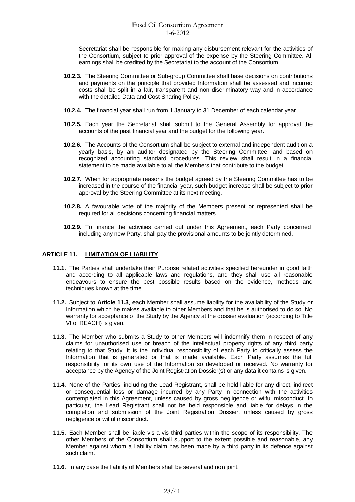Secretariat shall be responsible for making any disbursement relevant for the activities of the Consortium, subject to prior approval of the expense by the Steering Committee. All earnings shall be credited by the Secretariat to the account of the Consortium.

- **10.2.3.** The Steering Committee or Sub-group Committee shall base decisions on contributions and payments on the principle that provided Information shall be assessed and incurred costs shall be split in a fair, transparent and non discriminatory way and in accordance with the detailed Data and Cost Sharing Policy.
- **10.2.4.** The financial year shall run from 1 January to 31 December of each calendar year.
- **10.2.5.** Each year the Secretariat shall submit to the General Assembly for approval the accounts of the past financial year and the budget for the following year.
- **10.2.6.** The Accounts of the Consortium shall be subject to external and independent audit on a yearly basis, by an auditor designated by the Steering Committee, and based on recognized accounting standard procedures. This review shall result in a financial statement to be made available to all the Members that contribute to the budget.
- **10.2.7.** When for appropriate reasons the budget agreed by the Steering Committee has to be increased in the course of the financial year, such budget increase shall be subject to prior approval by the Steering Committee at its next meeting.
- **10.2.8.** A favourable vote of the majority of the Members present or represented shall be required for all decisions concerning financial matters.
- **10.2.9.** To finance the activities carried out under this Agreement, each Party concerned, including any new Party, shall pay the provisional amounts to be jointly determined.

### **ARTICLE 11. LIMITATION OF LIABILITY**

- **11.1.** The Parties shall undertake their Purpose related activities specified hereunder in good faith and according to all applicable laws and regulations, and they shall use all reasonable endeavours to ensure the best possible results based on the evidence, methods and techniques known at the time.
- **11.2.** Subject to **Article 11.3**, each Member shall assume liability for the availability of the Study or Information which he makes available to other Members and that he is authorised to do so. No warranty for acceptance of the Study by the Agency at the dossier evaluation (according to Title VI of REACH) is given.
- **11.3.** The Member who submits a Study to other Members will indemnify them in respect of any claims for unauthorised use or breach of the intellectual property rights of any third party relating to that Study. It is the individual responsibility of each Party to critically assess the Information that is generated or that is made available. Each Party assumes the full responsibility for its own use of the Information so developed or received. No warranty for acceptance by the Agency of the Joint Registration Dossier(s) or any data it contains is given.
- **11.4.** None of the Parties, including the Lead Registrant, shall be held liable for any direct, indirect or consequential loss or damage incurred by any Party in connection with the activities contemplated in this Agreement, unless caused by gross negligence or wilful misconduct. In particular, the Lead Registrant shall not be held responsible and liable for delays in the completion and submission of the Joint Registration Dossier, unless caused by gross negligence or wilful misconduct.
- **11.5.** Each Member shall be liable vis-a-vis third parties within the scope of its responsibility. The other Members of the Consortium shall support to the extent possible and reasonable, any Member against whom a liability claim has been made by a third party in its defence against such claim.
- **11.6.** In any case the liability of Members shall be several and non joint.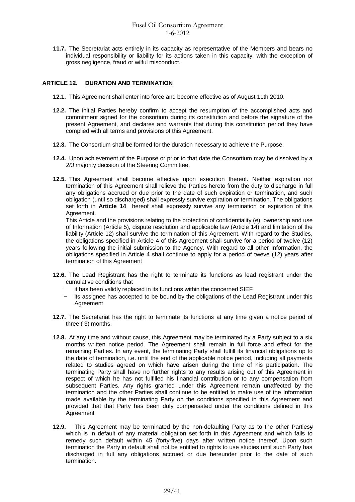**11.7.** The Secretariat acts entirely in its capacity as representative of the Members and bears no individual responsibility or liability for its actions taken in this capacity, with the exception of gross negligence, fraud or wilful misconduct.

# **ARTICLE 12. DURATION AND TERMINATION**

- **12.1.** This Agreement shall enter into force and become effective as of August 11th 2010.
- **12.2.** The initial Parties hereby confirm to accept the resumption of the accomplished acts and commitment signed for the consortium during its constitution and before the signature of the present Agreement, and declares and warrants that during this constitution period they have complied with all terms and provisions of this Agreement.
- **12.3.** The Consortium shall be formed for the duration necessary to achieve the Purpose.
- **12.4.** Upon achievement of the Purpose or prior to that date the Consortium may be dissolved by a *2/3* majority decision of the Steering Committee.
- **12.5.** This Agreement shall become effective upon execution thereof. Neither expiration nor termination of this Agreement shall relieve the Parties hereto from the duty to discharge in full any obligations accrued or due prior to the date of such expiration or termination, and such obligation (until so discharged) shall expressly survive expiration or termination. The obligations set forth in **Article 14** hereof shall expressly survive any termination or expiration of this Agreement.

This Article and the provisions relating to the protection of confidentiality (e), ownership and use of Information (Article 5), dispute resolution and applicable law (Article 14) and limitation of the liability (Article 12) shall survive the termination of this Agreement. With regard to the Studies, the obligations specified in Article 4 of this Agreement shall survive for a period of twelve (12) years following the initial submission to the Agency. With regard to all other Information, the obligations specified in Article 4 shall continue to apply for a period of tweve (12) years after termination of this Agreement

- **12.6.** The Lead Registrant has the right to terminate its functions as lead registrant under the cumulative conditions that
	- it has been validly replaced in its functions within the concerned SIEF
	- its assignee has accepted to be bound by the obligations of the Lead Registrant under this Agreement
- **12.7.** The Secretariat has the right to terminate its functions at any time given a notice period of three ( 3) months.
- **12.8.** At any time and without cause, this Agreement may be terminated by a Party subject to a six months written notice period. The Agreement shall remain in full force and effect for the remaining Parties. In any event, the terminating Party shall fulfill its financial obligations up to the date of termination, i.e. until the end of the applicable notice period, including all payments related to studies agreed on which have arisen during the time of his participation. The terminating Party shall have no further rights to any results arising out of this Agreement in respect of which he has not fulfilled his financial contribution or to any compensation from subsequent Parties. Any rights granted under this Agreement remain unaffected by the termination and the other Parties shall continue to be entitled to make use of the Information made available by the terminating Party on the conditions specified in this Agreement and provided that that Party has been duly compensated under the conditions defined in this Agreement
- **12.9.** This Agreement may be terminated by the non-defaulting Party as to the other Partiesy which is in default of any material obligation set forth in this Agreement and which fails to remedy such default within 45 (forty-five) days after written notice thereof. Upon such termination the Party in default shall not be entitled to rights to use studies until such Party has discharged in full any obligations accrued or due hereunder prior to the date of such termination.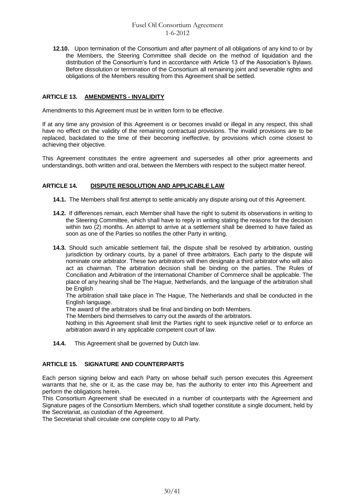**12.10.** Upon termination of the Consortium and after payment of all obligations of any kind to or by the Members, the Steering Committee shall decide on the method of liquidation and the distribution of the Consortium's fund in accordance with Article 13 of the Association's Bylaws. Before dissolution or termination of the Consortium all remaining joint and severable rights and obligations of the Members resulting from this Agreement shall be settled.

# **ARTICLE 13. AMENDMENTS - INVALIDITY**

Amendments to this Agreement must be in written form to be effective.

If at any time any provision of this Agreement is or becomes invalid or illegal in any respect, this shall have no effect on the validity of the remaining contractual provisions. The invalid provisions are to be replaced, backdated to the time of their becoming ineffective, by provisions which come closest to achieving their objective.

This Agreement constitutes the entire agreement and supersedes all other prior agreements and understandings, both written and oral, between the Members with respect to the subject matter hereof.

# **ARTICLE 14. DISPUTE RESOLUTION AND APPLICABLE LAW**

**14.1.** The Members shall first attempt to settle amicably any dispute arising out of this Agreement.

- **14.2.** If differences remain, each Member shall have the right to submit its observations in writing to the Steering Committee, which shall have to reply in writing stating the reasons for the decision within two (2) months. An attempt to arrive at a settlement shall be deemed to have failed as soon as one of the Parties so notifies the other Party in writing.
- **14.3.** Should such amicable settlement fail, the dispute shall be resolved by arbitration, ousting jurisdiction by ordinary courts, by a panel of three arbitrators. Each party to the dispute will nominate one arbitrator. These two arbitrators will then designate a third arbitrator who will also act as chairman. The arbitration decision shall be binding on the parties. The Rules of Conciliation and Arbitration of the International Chamber of Commerce shall be applicable. The place of any hearing shall be The Hague, Netherlands, and the language of the arbitration shall be English

The arbitration shall take place in The Hague, The Netherlands and shall be conducted in the English language.

The award of the arbitrators shall be final and binding on both Members.

The Members bind themselves to carry out the awards of the arbitrators.

Nothing in this Agreement shall limit the Parties right to seek injunctive relief or to enforce an arbitration award in any applicable competent court of law.

**14.4.** This Agreement shall be governed by Dutch law.

# **ARTICLE 15. SIGNATURE AND COUNTERPARTS**

Each person signing below and each Party on whose behalf such person executes this Agreement warrants that he, she or it, as the case may be, has the authority to enter into this Agreement and perform the obligations herein.

This Consortium Agreement shall be executed in a number of counterparts with the Agreement and Signature pages of the Consortium Members, which shall together constitute a single document, held by the Secretariat, as custodian of the Agreement.

The Secretariat shall circulate one complete copy to all Party.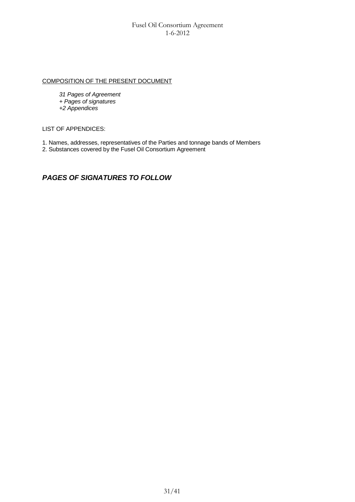# COMPOSITION OF THE PRESENT DOCUMENT

*31 Pages of Agreement + Pages of signatures +2 Appendices* 

LIST OF APPENDICES:

- 1. Names, addresses, representatives of the Parties and tonnage bands of Members
- 2. Substances covered by the Fusel Oil Consortium Agreement

# *PAGES OF SIGNATURES TO FOLLOW*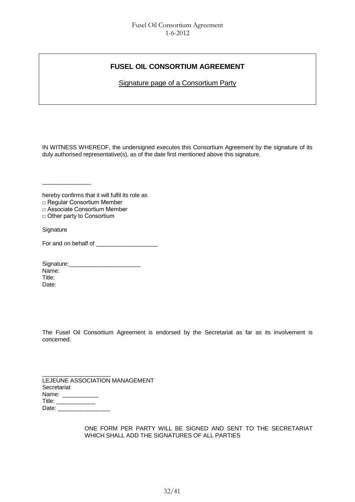# **FUSEL OIL CONSORTIUM AGREEMENT**

Signature page of a Consortium Party

IN WITNESS WHEREOF, the undersigned executes this Consortium Agreement by the signature of its duly authorised representative(s), as of the date first mentioned above this signature.

hereby confirms that it will fulfil its role as

□ Regular Consortium Member

\_\_\_\_\_\_\_\_\_\_\_\_\_\_\_

□ Associate Consortium Member

□ Other party to Consortium

**Signature** 

For and on behalf of \_\_\_\_\_\_\_\_\_\_\_\_\_\_\_\_\_\_\_

Signature:\_\_\_\_\_\_\_\_\_\_\_\_\_\_\_\_\_\_\_\_\_\_ Name: Title: Date:

The Fusel Oil Consortium Agreement is endorsed by the Secretariat as far as its involvement is concerned.

| LEJEUNE ASSOCIATION MANAGEMENT |  |
|--------------------------------|--|
| Secretariat                    |  |
| Name: <b>Name</b>              |  |
| Title:                         |  |
| Date:                          |  |

ONE FORM PER PARTY WILL BE SIGNED AND SENT TO THE SECRETARIAT WHICH SHALL ADD THE SIGNATURES OF ALL PARTIES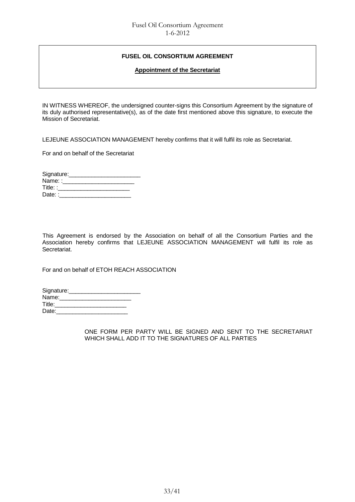# **FUSEL OIL CONSORTIUM AGREEMENT**

### **Appointment of the Secretariat**

IN WITNESS WHEREOF, the undersigned counter-signs this Consortium Agreement by the signature of its duly authorised representative(s), as of the date first mentioned above this signature, to execute the Mission of Secretariat.

LEJEUNE ASSOCIATION MANAGEMENT hereby confirms that it will fulfil its role as Secretariat.

For and on behalf of the Secretariat

| Signature: |  |
|------------|--|
| Name::     |  |
| Title: :   |  |
| Date: :    |  |

This Agreement is endorsed by the Association on behalf of all the Consortium Parties and the Association hereby confirms that LEJEUNE ASSOCIATION MANAGEMENT will fulfil its role as Secretariat.

For and on behalf of ETOH REACH ASSOCIATION

| Signature: |  |
|------------|--|
| Name:      |  |
| Title:     |  |
| Date:      |  |

ONE FORM PER PARTY WILL BE SIGNED AND SENT TO THE SECRETARIAT WHICH SHALL ADD IT TO THE SIGNATURES OF ALL PARTIES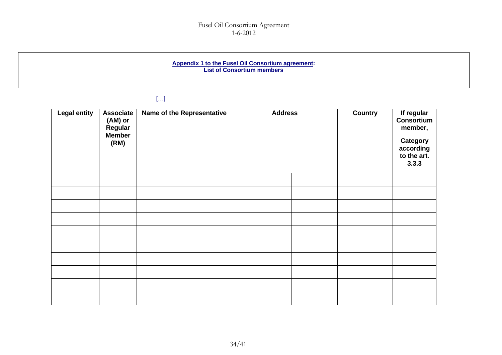#### **Appendix 1 to the Fusel Oil Consortium agreement: List of Consortium members**

# […]

| <b>Legal entity</b> | <b>Associate</b><br>(AM) or<br>Regular<br><b>Member</b><br>(RM) | Name of the Representative | <b>Address</b> |  | <b>Country</b> | If regular<br>Consortium<br>member,<br><b>Category</b><br>according<br>to the art.<br>3.3.3 |
|---------------------|-----------------------------------------------------------------|----------------------------|----------------|--|----------------|---------------------------------------------------------------------------------------------|
|                     |                                                                 |                            |                |  |                |                                                                                             |
|                     |                                                                 |                            |                |  |                |                                                                                             |
|                     |                                                                 |                            |                |  |                |                                                                                             |
|                     |                                                                 |                            |                |  |                |                                                                                             |
|                     |                                                                 |                            |                |  |                |                                                                                             |
|                     |                                                                 |                            |                |  |                |                                                                                             |
|                     |                                                                 |                            |                |  |                |                                                                                             |
|                     |                                                                 |                            |                |  |                |                                                                                             |
|                     |                                                                 |                            |                |  |                |                                                                                             |
|                     |                                                                 |                            |                |  |                |                                                                                             |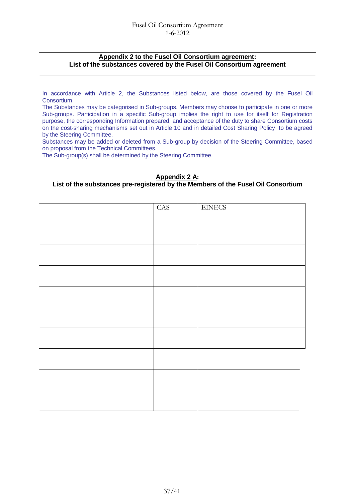# **Appendix 2 to the Fusel Oil Consortium agreement: List of the substances covered by the Fusel Oil Consortium agreement**

In accordance with Article 2, the Substances listed below, are those covered by the Fusel Oil Consortium.

The Substances may be categorised in Sub-groups. Members may choose to participate in one or more Sub-groups. Participation in a specific Sub-group implies the right to use for itself for Registration purpose, the corresponding Information prepared, and acceptance of the duty to share Consortium costs on the cost-sharing mechanisms set out in Article 10 and in detailed Cost Sharing Policy to be agreed by the Steering Committee.

Substances may be added or deleted from a Sub-group by decision of the Steering Committee, based on proposal from the Technical Committees.

The Sub-group(s) shall be determined by the Steering Committee.

# **Appendix 2 A:**

# **List of the substances pre-registered by the Members of the Fusel Oil Consortium**

| <b>CAS</b> | <b>EINECS</b> |
|------------|---------------|
|            |               |
|            |               |
|            |               |
|            |               |
|            |               |
|            |               |
|            |               |
|            |               |
|            |               |
|            |               |
|            |               |
|            |               |
|            |               |
|            |               |
|            |               |
|            |               |
|            |               |
|            |               |
|            |               |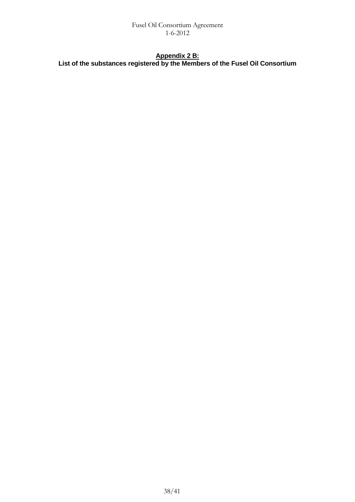# **Appendix 2 B: List of the substances registered by the Members of the Fusel Oil Consortium**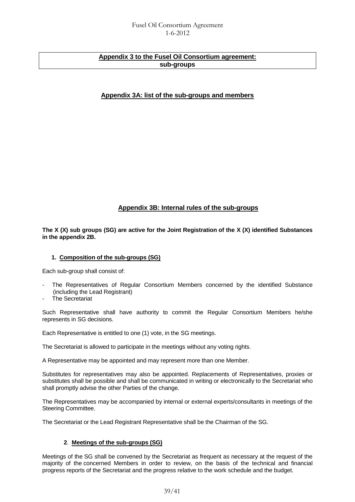# **Appendix 3 to the Fusel Oil Consortium agreement: sub-groups**

# **Appendix 3A: list of the sub-groups and members**

# **Appendix 3B: Internal rules of the sub-groups**

**The X (X) sub groups (SG) are active for the Joint Registration of the X (X) identified Substances in the appendix 2B.**

# **1. Composition of the sub-groups (SG)**

Each sub-group shall consist of:

- The Representatives of Regular Consortium Members concerned by the identified Substance (including the Lead Registrant)
- The Secretariat

Such Representative shall have authority to commit the Regular Consortium Members he/she represents in SG decisions.

Each Representative is entitled to one (1) vote, in the SG meetings.

The Secretariat is allowed to participate in the meetings without any voting rights.

A Representative may be appointed and may represent more than one Member.

Substitutes for representatives may also be appointed. Replacements of Representatives, proxies or substitutes shall be possible and shall be communicated in writing or electronically to the Secretariat who shall promptly advise the other Parties of the change*.*

The Representatives may be accompanied by internal or external experts/consultants in meetings of the Steering Committee.

The Secretariat or the Lead Registrant Representative shall be the Chairman of the SG.

# **2**. **Meetings of the sub-groups (SG)**

Meetings of the SG shall be convened by the Secretariat as frequent as necessary at the request of the majority of the concerned Members in order to review, on the basis of the technical and financial progress reports of the Secretariat and the progress relative to the work schedule and the budget.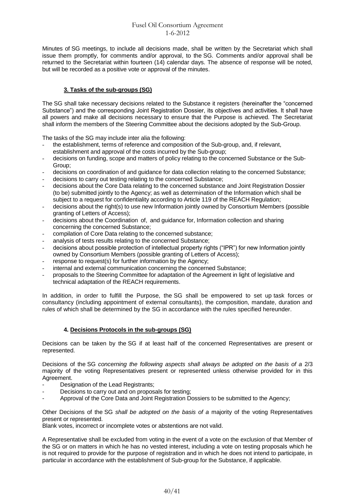Minutes of SG meetings, to include all decisions made, shall be written by the Secretariat which shall issue them promptly, for comments and/or approval, to the SG. Comments and/or approval shall be returned to the Secretariat within fourteen (14) calendar days. The absence of response will be noted, but will be recorded as a positive vote or approval of the minutes.

# **3. Tasks of the sub-groups (SG)**

The SG shall take necessary decisions related to the Substance it registers (hereinafter the "concerned Substance") and the corresponding Joint Registration Dossier, its objectives and activities. It shall have all powers and make all decisions necessary to ensure that the Purpose is achieved. The Secretariat shall inform the members of the Steering Committee about the decisions adopted by the Sub-Group.

The tasks of the SG may include inter alia the following:

- the establishment, terms of reference and composition of the Sub-group, and, if relevant, establishment and approval of the costs incurred by the Sub-group;
- decisions on funding, scope and matters of policy relating to the concerned Substance or the Sub-Group;
- decisions on coordination of and guidance for data collection relating to the concerned Substance;
- decisions to carry out testing relating to the concerned Substance;
- decisions about the Core Data relating to the concerned substance and Joint Registration Dossier (to be) submitted jointly to the Agency; as well as determination of the Information which shall be subject to a request for confidentiality according to Article 119 of the REACH Regulation;
- decisions about the right(s) to use new Information jointly owned by Consortium Members (possible granting of Letters of Access);
- decisions about the Coordination of, and guidance for, Information collection and sharing concerning the concerned Substance;
- compilation of Core Data relating to the concerned substance;
- analysis of tests results relating to the concerned Substance;
- decisions about possible protection of intellectual property rights ("IPR") for new Information jointly owned by Consortium Members (possible granting of Letters of Access);
- response to request(s) for further information by the Agency;
- internal and external communication concerning the concerned Substance;
- proposals to the Steering Committee for adaptation of the Agreement in light of legislative and technical adaptation of the REACH requirements.

In addition, in order to fulfill the Purpose, the SG shall be empowered to set up task forces or consultancy (including appointment of external consultants), the composition, mandate, duration and rules of which shall be determined by the SG in accordance with the rules specified hereunder.

# **4. Decisions Protocols in the sub-groups (SG)**

Decisions can be taken by the SG if at least half of the concerned Representatives are present or represented.

Decisions of the SG *concerning the following aspects shall always be adopted on the basis of a 2/3* majority of the voting Representatives present or represented unless otherwise provided for in this Agreement.

- Designation of the Lead Registrants:
- Decisions to carry out and on proposals for testing;
- Approval of the Core Data and Joint Registration Dossiers to be submitted to the Agency;

Other Decisions of the SG *shall be adopted on the basis of a* majority of the voting Representatives present or represented.

Blank votes, incorrect or incomplete votes or abstentions are not valid.

A Representative shall be excluded from voting in the event of a vote on the exclusion of that Member of the SG or on matters in which he has no vested interest, including a vote on testing proposals which he is not required to provide for the purpose of registration and in which he does not intend to participate, in particular in accordance with the establishment of Sub-group for the Substance, if applicable.